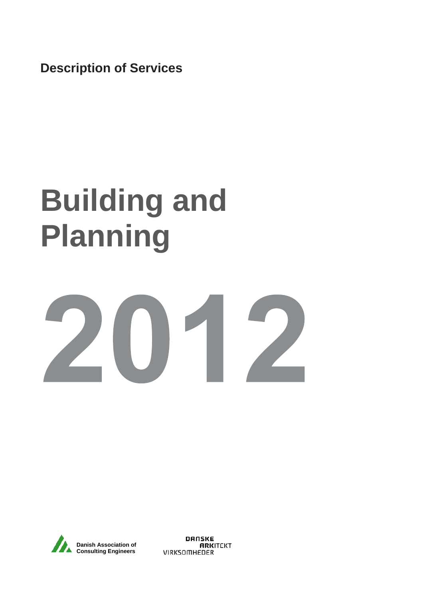**Description of Services**

# **Building and Planning**

# 2012



**DANSKE ARKITEKT VIRKSOMHEDER**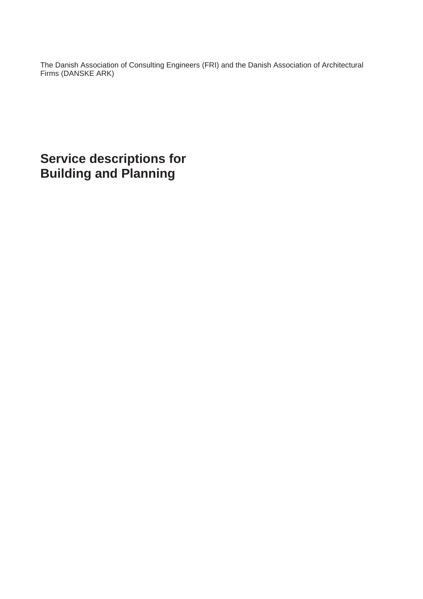The Danish Association of Consulting Engineers (FRI) and the Danish Association of Architectural Firms (DANSKE ARK)

**Service descriptions for Building and Planning**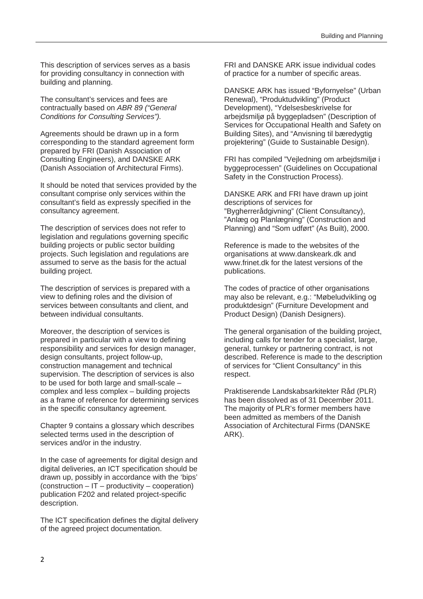This description of services serves as a basis for providing consultancy in connection with building and planning.

The consultant's services and fees are contractually based on *ABR 89 ("General Conditions for Consulting Services").*

Agreements should be drawn up in a form corresponding to the standard agreement form prepared by FRI (Danish Association of Consulting Engineers), and DANSKE ARK (Danish Association of Architectural Firms).

It should be noted that services provided by the consultant comprise only services within the consultant's field as expressly specified in the consultancy agreement.

The description of services does not refer to legislation and regulations governing specific building projects or public sector building projects. Such legislation and regulations are assumed to serve as the basis for the actual building project.

The description of services is prepared with a view to defining roles and the division of services between consultants and client, and between individual consultants.

Moreover, the description of services is prepared in particular with a view to defining responsibility and services for design manager, design consultants, project follow-up, construction management and technical supervision. The description of services is also to be used for both large and small-scale – complex and less complex – building projects as a frame of reference for determining services in the specific consultancy agreement.

Chapter 9 contains a glossary which describes selected terms used in the description of services and/or in the industry.

In the case of agreements for digital design and digital deliveries, an ICT specification should be drawn up, possibly in accordance with the 'bips' (construction – IT – productivity – cooperation) publication F202 and related project-specific description.

The ICT specification defines the digital delivery of the agreed project documentation.

FRI and DANSKE ARK issue individual codes of practice for a number of specific areas.

DANSKE ARK has issued "Byfornyelse" (Urban Renewal), "Produktudvikling" (Product Development), "Ydelsesbeskrivelse for arbejdsmiljø på byggepladsen" (Description of Services for Occupational Health and Safety on Building Sites), and "Anvisning til bæredygtig projektering" (Guide to Sustainable Design).

FRI has compiled "Vejledning om arbejdsmiljø i byggeprocessen" (Guidelines on Occupational Safety in the Construction Process).

DANSKE ARK and FRI have drawn up joint descriptions of services for "Bygherrerådgivning" (Client Consultancy), "Anlæg og Planlægning" (Construction and Planning) and "Som udført" (As Built), 2000.

Reference is made to the websites of the organisations at www.danskeark.dk and www.frinet.dk for the latest versions of the publications.

The codes of practice of other organisations may also be relevant, e.g.: "Møbeludvikling og produktdesign" (Furniture Development and Product Design) (Danish Designers).

The general organisation of the building project, including calls for tender for a specialist, large, general, turnkey or partnering contract, is not described. Reference is made to the description of services for "Client Consultancy" in this respect.

Praktiserende Landskabsarkitekter Råd (PLR) has been dissolved as of 31 December 2011. The majority of PLR's former members have been admitted as members of the Danish Association of Architectural Firms (DANSKE ARK).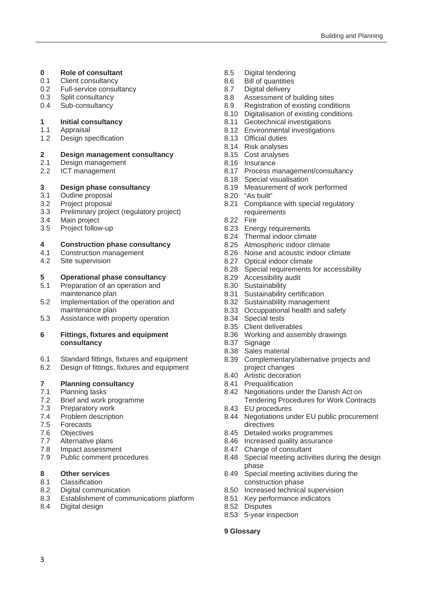- **0 Role of consultant**
- 0.1 Client consultancy
- 0.2 Full-service consultancy
- 0.3 Split consultancy
- 0.4 Sub-consultancy

#### **1 Initial consultancy**

- 1.1 Appraisal
- 1.2 Design specification

# **2 Design management consultancy**

- Design management
- 2.2 ICT management

# **3** Design phase consultancy<br>3.1 Outline proposal

- Outline proposal
- 3.2 Project proposal
- 3.3 Preliminary project (regulatory project)
- 3.4 Main project
- 3.5 Project follow-up

#### **4 Construction phase consultancy**

- 4.1 Construction management
- 4.2 Site supervision

#### **5 Operational phase consultancy**

- 5.1 Preparation of an operation and maintenance plan
- 5.2 Implementation of the operation and maintenance plan
- 5.3 Assistance with property operation

#### **6 Fittings, fixtures and equipment consultancy**

- 6.1 Standard fittings, fixtures and equipment
- 6.2 Design of fittings, fixtures and equipment

#### **7 Planning consultancy**

- 7.1 Planning tasks
- 7.2 Brief and work programme
- 7.3 Preparatory work
- 7.4 Problem description
- 7.5 Forecasts
- 7.6 Objectives
- 7.7 Alternative plans
- 7.8 Impact assessment
- 7.9 Public comment procedures

#### **8 Other services**

- 8.1 Classification
- 8.2 Digital communication
- 8.3 Establishment of communications platform
- 8.4 Digital design
- 8.5 Digital tendering
- 8.6 Bill of quantities
- 8.7 Digital delivery
- 8.8 Assessment of building sites
- 8.9 Registration of existing conditions
- 8.10 Digitalisation of existing conditions
- 8.11 Geotechnical investigations
- 8.12 Environmental investigations
- 8.13 Official duties
- 8.14 Risk analyses
- 8.15 Cost analyses
- 8.16 Insurance<br>8.17 Process m
- Process management/consultancy
- 8.18 Special visualisation
- 8.19 Measurement of work performed
- 8.20 "As built"
- 8.21 Compliance with special regulatory requirements
- 8.22 Fire
- 8.23 Energy requirements
- 8.24 Thermal indoor climate
- 8.25 Atmospheric indoor climate
- 8.26 Noise and acoustic indoor climate
- 8.27 Optical indoor climate
- 8.28 Special requirements for accessibility
- 8.29 Accessibility audit
- 8.30 Sustainability
- 8.31 Sustainability certification
- 8.32 Sustainability management
- 8.33 Occuppational health and safety
- 8.34 Special tests
- 8.35 Client deliverables
- 8.36 Working and assembly drawings
- 8.37 Signage<br>8.38 Sales ma
- Sales material
- 8.39 Complementary/alternative projects and project changes
- 8.40 Artistic decoration
- 8.41 Prequalification
- 8.42 Negotiations under the Danish Act on Tendering Procedures for Work Contracts
- 8.43 EU procedures
- 8.44 Negotiations under EU public procurement directives
- 8.45 Detailed works programmes
- 8.46 Increased quality assurance
- 8.47 Change of consultant
- 8.48 Special meeting activities during the design phase
- 8.49 Special meeting activities during the construction phase
- 8.50 Increased technical supervision
- 8.51 Key performance indicators
- 8.52 Disputes
- 8.53 5-year inspection

#### **9 Glossary**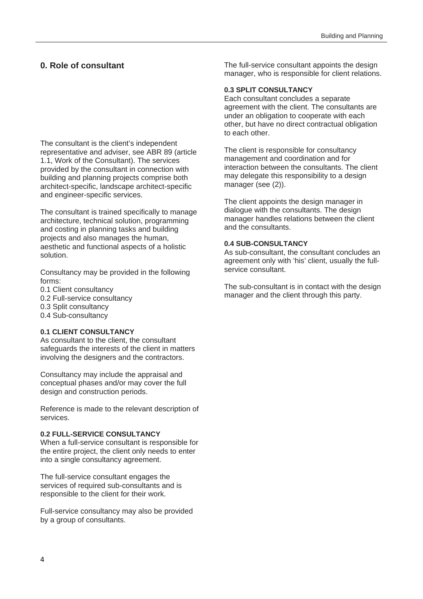#### **0. Role of consultant**

The consultant is the client's independent representative and adviser, see ABR 89 (article 1.1, Work of the Consultant). The services provided by the consultant in connection with building and planning projects comprise both architect-specific, landscape architect-specific and engineer-specific services.

The consultant is trained specifically to manage architecture, technical solution, programming and costing in planning tasks and building projects and also manages the human, aesthetic and functional aspects of a holistic solution.

Consultancy may be provided in the following forms:

- 0.1 Client consultancy
- 0.2 Full-service consultancy
- 0.3 Split consultancy
- 0.4 Sub-consultancy

#### **0.1 CLIENT CONSULTANCY**

As consultant to the client, the consultant safeguards the interests of the client in matters involving the designers and the contractors.

Consultancy may include the appraisal and conceptual phases and/or may cover the full design and construction periods.

Reference is made to the relevant description of services.

#### **0.2 FULL-SERVICE CONSULTANCY**

When a full-service consultant is responsible for the entire project, the client only needs to enter into a single consultancy agreement.

The full-service consultant engages the services of required sub-consultants and is responsible to the client for their work.

Full-service consultancy may also be provided by a group of consultants.

The full-service consultant appoints the design manager, who is responsible for client relations.

#### **0.3 SPLIT CONSULTANCY**

Each consultant concludes a separate agreement with the client. The consultants are under an obligation to cooperate with each other, but have no direct contractual obligation to each other.

The client is responsible for consultancy management and coordination and for interaction between the consultants. The client may delegate this responsibility to a design manager (see (2)).

The client appoints the design manager in dialogue with the consultants. The design manager handles relations between the client and the consultants.

#### **0.4 SUB-CONSULTANCY**

As sub-consultant, the consultant concludes an agreement only with 'his' client, usually the fullservice consultant.

The sub-consultant is in contact with the design manager and the client through this party.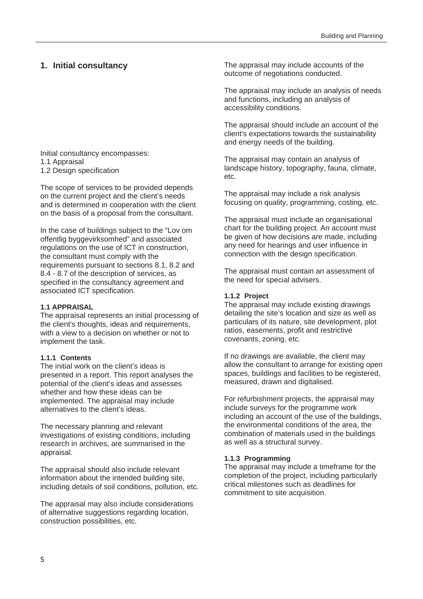#### **1. Initial consultancy**

#### Initial consultancy encompasses: 1.1 Appraisal 1.2 Design specification

The scope of services to be provided depends on the current project and the client's needs and is determined in cooperation with the client on the basis of a proposal from the consultant.

In the case of buildings subject to the "Lov om offentlig byggevirksomhed" and associated regulations on the use of ICT in construction, the consultant must comply with the requirements pursuant to sections 8.1, 8.2 and 8.4 - 8.7 of the description of services, as specified in the consultancy agreement and associated ICT specification.

#### **1.1 APPRAISAL**

The appraisal represents an initial processing of the client's thoughts, ideas and requirements, with a view to a decision on whether or not to implement the task.

#### **1.1.1 Contents**

The initial work on the client's ideas is presented in a report. This report analyses the potential of the client's ideas and assesses whether and how these ideas can be implemented. The appraisal may include alternatives to the client's ideas.

The necessary planning and relevant investigations of existing conditions, including research in archives, are summarised in the appraisal.

The appraisal should also include relevant information about the intended building site, including details of soil conditions, pollution, etc.

The appraisal may also include considerations of alternative suggestions regarding location, construction possibilities, etc.

The appraisal may include accounts of the outcome of negotiations conducted.

The appraisal may include an analysis of needs and functions, including an analysis of accessibility conditions.

The appraisal should include an account of the client's expectations towards the sustainability and energy needs of the building.

The appraisal may contain an analysis of landscape history, topography, fauna, climate, etc.

The appraisal may include a risk analysis focusing on quality, programming, costing, etc.

The appraisal must include an organisational chart for the building project. An account must be given of how decisions are made, including any need for hearings and user influence in connection with the design specification.

The appraisal must contain an assessment of the need for special advisers.

#### **1.1.2 Project**

The appraisal may include existing drawings detailing the site's location and size as well as particulars of its nature, site development, plot ratios, easements, profit and restrictive covenants, zoning, etc.

If no drawings are available, the client may allow the consultant to arrange for existing open spaces, buildings and facilities to be registered, measured, drawn and digitalised.

For refurbishment projects, the appraisal may include surveys for the programme work including an account of the use of the buildings, the environmental conditions of the area, the combination of materials used in the buildings as well as a structural survey.

#### **1.1.3 Programming**

The appraisal may include a timeframe for the completion of the project, including particularly critical milestones such as deadlines for commitment to site acquisition.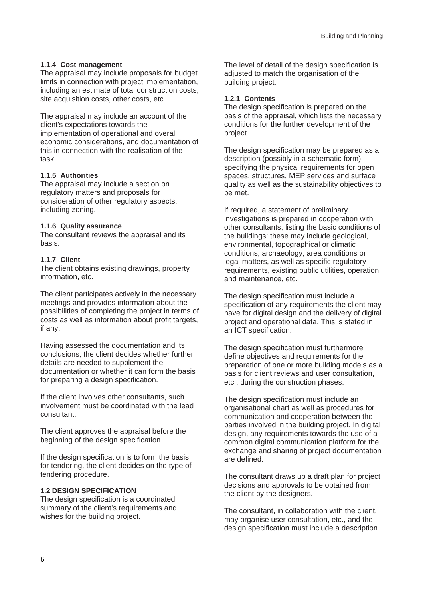#### **1.1.4 Cost management**

The appraisal may include proposals for budget limits in connection with project implementation, including an estimate of total construction costs, site acquisition costs, other costs, etc.

The appraisal may include an account of the client's expectations towards the implementation of operational and overall economic considerations, and documentation of this in connection with the realisation of the task.

#### **1.1.5 Authorities**

The appraisal may include a section on regulatory matters and proposals for consideration of other regulatory aspects, including zoning.

#### **1.1.6 Quality assurance**

The consultant reviews the appraisal and its basis.

#### **1.1.7 Client**

The client obtains existing drawings, property information, etc.

The client participates actively in the necessary meetings and provides information about the possibilities of completing the project in terms of costs as well as information about profit targets, if any.

Having assessed the documentation and its conclusions, the client decides whether further details are needed to supplement the documentation or whether it can form the basis for preparing a design specification.

If the client involves other consultants, such involvement must be coordinated with the lead consultant.

The client approves the appraisal before the beginning of the design specification.

If the design specification is to form the basis for tendering, the client decides on the type of tendering procedure.

#### **1.2 DESIGN SPECIFICATION**

The design specification is a coordinated summary of the client's requirements and wishes for the building project.

The level of detail of the design specification is adjusted to match the organisation of the building project.

#### **1.2.1 Contents**

The design specification is prepared on the basis of the appraisal, which lists the necessary conditions for the further development of the project.

The design specification may be prepared as a description (possibly in a schematic form) specifying the physical requirements for open spaces, structures, MEP services and surface quality as well as the sustainability objectives to be met.

If required, a statement of preliminary investigations is prepared in cooperation with other consultants, listing the basic conditions of the buildings: these may include geological, environmental, topographical or climatic conditions, archaeology, area conditions or legal matters, as well as specific regulatory requirements, existing public utilities, operation and maintenance, etc.

The design specification must include a specification of any requirements the client may have for digital design and the delivery of digital project and operational data. This is stated in an ICT specification.

The design specification must furthermore define objectives and requirements for the preparation of one or more building models as a basis for client reviews and user consultation, etc., during the construction phases.

The design specification must include an organisational chart as well as procedures for communication and cooperation between the parties involved in the building project. In digital design, any requirements towards the use of a common digital communication platform for the exchange and sharing of project documentation are defined.

The consultant draws up a draft plan for project decisions and approvals to be obtained from the client by the designers.

The consultant, in collaboration with the client, may organise user consultation, etc., and the design specification must include a description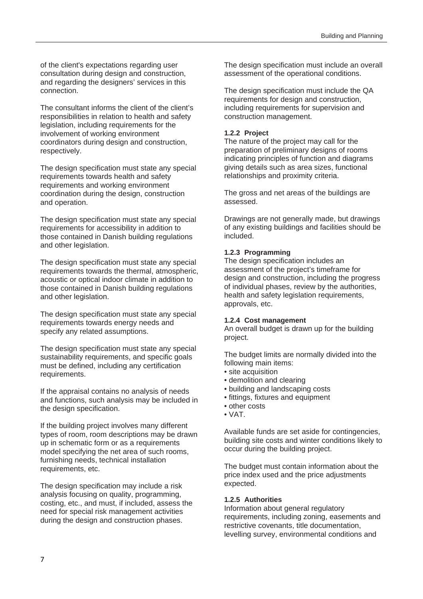of the client's expectations regarding user consultation during design and construction, and regarding the designers' services in this connection.

The consultant informs the client of the client's responsibilities in relation to health and safety legislation, including requirements for the involvement of working environment coordinators during design and construction, respectively.

The design specification must state any special requirements towards health and safety requirements and working environment coordination during the design, construction and operation.

The design specification must state any special requirements for accessibility in addition to those contained in Danish building regulations and other legislation.

The design specification must state any special requirements towards the thermal, atmospheric, acoustic or optical indoor climate in addition to those contained in Danish building regulations and other legislation.

The design specification must state any special requirements towards energy needs and specify any related assumptions.

The design specification must state any special sustainability requirements, and specific goals must be defined, including any certification requirements.

If the appraisal contains no analysis of needs and functions, such analysis may be included in the design specification.

If the building project involves many different types of room, room descriptions may be drawn up in schematic form or as a requirements model specifying the net area of such rooms, furnishing needs, technical installation requirements, etc.

The design specification may include a risk analysis focusing on quality, programming, costing, etc., and must, if included, assess the need for special risk management activities during the design and construction phases.

The design specification must include an overall assessment of the operational conditions.

The design specification must include the QA requirements for design and construction, including requirements for supervision and construction management.

#### **1.2.2 Project**

The nature of the project may call for the preparation of preliminary designs of rooms indicating principles of function and diagrams giving details such as area sizes, functional relationships and proximity criteria.

The gross and net areas of the buildings are assessed.

Drawings are not generally made, but drawings of any existing buildings and facilities should be included.

#### **1.2.3 Programming**

The design specification includes an assessment of the project's timeframe for design and construction, including the progress of individual phases, review by the authorities, health and safety legislation requirements, approvals, etc.

#### **1.2.4 Cost management**

An overall budget is drawn up for the building project.

The budget limits are normally divided into the following main items:

- site acquisition
- demolition and clearing
- building and landscaping costs
- fittings, fixtures and equipment
- other costs
- VAT.

Available funds are set aside for contingencies, building site costs and winter conditions likely to occur during the building project.

The budget must contain information about the price index used and the price adjustments expected.

#### **1.2.5 Authorities**

Information about general regulatory requirements, including zoning, easements and restrictive covenants, title documentation, levelling survey, environmental conditions and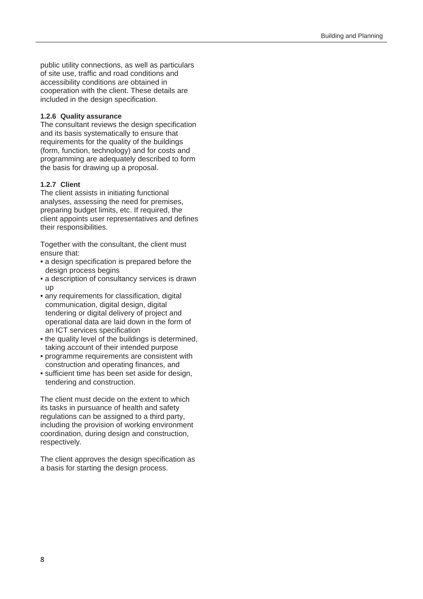public utility connections, as well as particulars of site use, traffic and road conditions and accessibility conditions are obtained in cooperation with the client. These details are included in the design specification.

#### **1.2.6 Quality assurance**

The consultant reviews the design specification and its basis systematically to ensure that requirements for the quality of the buildings (form, function, technology) and for costs and programming are adequately described to form the basis for drawing up a proposal.

#### **1.2.7 Client**

The client assists in initiating functional analyses, assessing the need for premises, preparing budget limits, etc. If required, the client appoints user representatives and defines their responsibilities.

Together with the consultant, the client must ensure that:

- a design specification is prepared before the design process begins
- a description of consultancy services is drawn up
- any requirements for classification, digital communication, digital design, digital tendering or digital delivery of project and operational data are laid down in the form of an ICT services specification
- the quality level of the buildings is determined. taking account of their intended purpose
- programme requirements are consistent with construction and operating finances, and
- sufficient time has been set aside for design, tendering and construction.

The client must decide on the extent to which its tasks in pursuance of health and safety regulations can be assigned to a third party, including the provision of working environment coordination, during design and construction, respectively.

The client approves the design specification as a basis for starting the design process.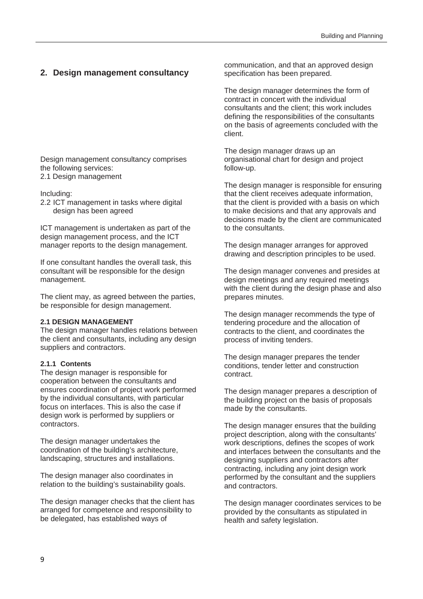#### **2. Design management consultancy**

Design management consultancy comprises the following services: 2.1 Design management

Including:

2.2 ICT management in tasks where digital design has been agreed

ICT management is undertaken as part of the design management process, and the ICT manager reports to the design management.

If one consultant handles the overall task, this consultant will be responsible for the design management.

The client may, as agreed between the parties, be responsible for design management.

#### **2.1 DESIGN MANAGEMENT**

The design manager handles relations between the client and consultants, including any design suppliers and contractors.

#### **2.1.1 Contents**

The design manager is responsible for cooperation between the consultants and ensures coordination of project work performed by the individual consultants, with particular focus on interfaces. This is also the case if design work is performed by suppliers or contractors.

The design manager undertakes the coordination of the building's architecture, landscaping, structures and installations.

The design manager also coordinates in relation to the building's sustainability goals.

The design manager checks that the client has arranged for competence and responsibility to be delegated, has established ways of

communication, and that an approved design specification has been prepared.

The design manager determines the form of contract in concert with the individual consultants and the client; this work includes defining the responsibilities of the consultants on the basis of agreements concluded with the client.

The design manager draws up an organisational chart for design and project follow-up.

The design manager is responsible for ensuring that the client receives adequate information, that the client is provided with a basis on which to make decisions and that any approvals and decisions made by the client are communicated to the consultants.

The design manager arranges for approved drawing and description principles to be used.

The design manager convenes and presides at design meetings and any required meetings with the client during the design phase and also prepares minutes.

The design manager recommends the type of tendering procedure and the allocation of contracts to the client, and coordinates the process of inviting tenders.

The design manager prepares the tender conditions, tender letter and construction contract.

The design manager prepares a description of the building project on the basis of proposals made by the consultants.

The design manager ensures that the building project description, along with the consultants' work descriptions, defines the scopes of work and interfaces between the consultants and the designing suppliers and contractors after contracting, including any joint design work performed by the consultant and the suppliers and contractors.

The design manager coordinates services to be provided by the consultants as stipulated in health and safety legislation.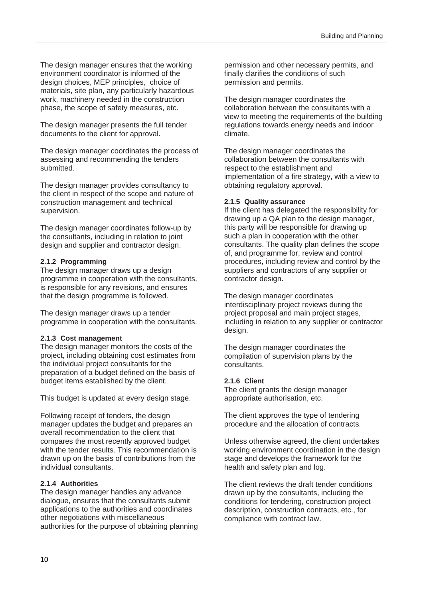The design manager ensures that the working environment coordinator is informed of the design choices, MEP principles, choice of materials, site plan, any particularly hazardous work, machinery needed in the construction phase, the scope of safety measures, etc.

The design manager presents the full tender documents to the client for approval.

The design manager coordinates the process of assessing and recommending the tenders submitted.

The design manager provides consultancy to the client in respect of the scope and nature of construction management and technical supervision.

The design manager coordinates follow-up by the consultants, including in relation to joint design and supplier and contractor design.

#### **2.1.2 Programming**

The design manager draws up a design programme in cooperation with the consultants, is responsible for any revisions, and ensures that the design programme is followed.

The design manager draws up a tender programme in cooperation with the consultants.

#### **2.1.3 Cost management**

The design manager monitors the costs of the project, including obtaining cost estimates from the individual project consultants for the preparation of a budget defined on the basis of budget items established by the client.

This budget is updated at every design stage.

Following receipt of tenders, the design manager updates the budget and prepares an overall recommendation to the client that compares the most recently approved budget with the tender results. This recommendation is drawn up on the basis of contributions from the individual consultants.

#### **2.1.4 Authorities**

The design manager handles any advance dialogue, ensures that the consultants submit applications to the authorities and coordinates other negotiations with miscellaneous authorities for the purpose of obtaining planning permission and other necessary permits, and finally clarifies the conditions of such permission and permits.

The design manager coordinates the collaboration between the consultants with a view to meeting the requirements of the building regulations towards energy needs and indoor climate.

The design manager coordinates the collaboration between the consultants with respect to the establishment and implementation of a fire strategy, with a view to obtaining regulatory approval.

#### **2.1.5 Quality assurance**

If the client has delegated the responsibility for drawing up a QA plan to the design manager, this party will be responsible for drawing up such a plan in cooperation with the other consultants. The quality plan defines the scope of, and programme for, review and control procedures, including review and control by the suppliers and contractors of any supplier or contractor design.

The design manager coordinates interdisciplinary project reviews during the project proposal and main project stages, including in relation to any supplier or contractor design.

The design manager coordinates the compilation of supervision plans by the consultants.

#### **2.1.6 Client**

The client grants the design manager appropriate authorisation, etc.

The client approves the type of tendering procedure and the allocation of contracts.

Unless otherwise agreed, the client undertakes working environment coordination in the design stage and develops the framework for the health and safety plan and log.

The client reviews the draft tender conditions drawn up by the consultants, including the conditions for tendering, construction project description, construction contracts, etc., for compliance with contract law.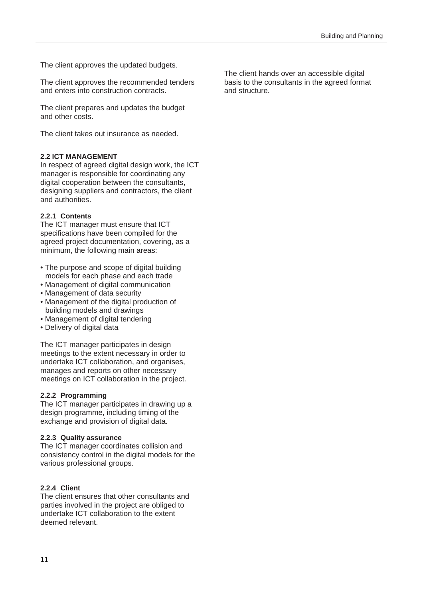The client approves the updated budgets.

The client approves the recommended tenders and enters into construction contracts.

The client prepares and updates the budget and other costs.

The client takes out insurance as needed.

#### **2.2 ICT MANAGEMENT**

In respect of agreed digital design work, the ICT manager is responsible for coordinating any digital cooperation between the consultants, designing suppliers and contractors, the client and authorities.

#### **2.2.1 Contents**

The ICT manager must ensure that ICT specifications have been compiled for the agreed project documentation, covering, as a minimum, the following main areas:

- The purpose and scope of digital building models for each phase and each trade
- Management of digital communication
- Management of data security
- Management of the digital production of building models and drawings
- Management of digital tendering
- Delivery of digital data

The ICT manager participates in design meetings to the extent necessary in order to undertake ICT collaboration, and organises, manages and reports on other necessary meetings on ICT collaboration in the project.

#### **2.2.2 Programming**

The ICT manager participates in drawing up a design programme, including timing of the exchange and provision of digital data.

#### **2.2.3 Quality assurance**

The ICT manager coordinates collision and consistency control in the digital models for the various professional groups.

#### **2.2.4 Client**

The client ensures that other consultants and parties involved in the project are obliged to undertake ICT collaboration to the extent deemed relevant.

The client hands over an accessible digital basis to the consultants in the agreed format and structure.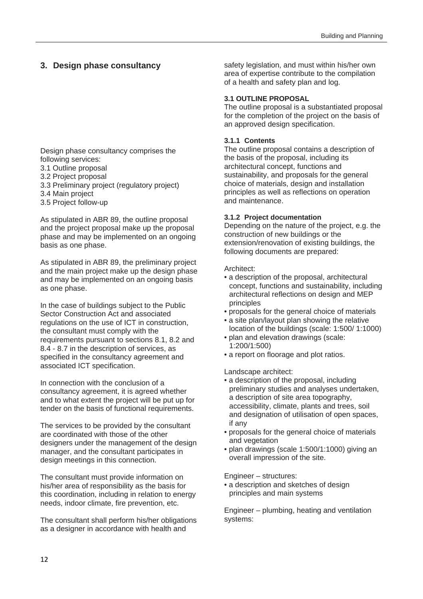#### **3. Design phase consultancy**

Design phase consultancy comprises the following services: 3.1 Outline proposal

- 3.2 Project proposal
- 3.3 Preliminary project (regulatory project)
- 3.4 Main project
- 3.5 Project follow-up

As stipulated in ABR 89, the outline proposal and the project proposal make up the proposal phase and may be implemented on an ongoing basis as one phase.

As stipulated in ABR 89, the preliminary project and the main project make up the design phase and may be implemented on an ongoing basis as one phase.

In the case of buildings subject to the Public Sector Construction Act and associated regulations on the use of ICT in construction, the consultant must comply with the requirements pursuant to sections 8.1, 8.2 and 8.4 - 8.7 in the description of services, as specified in the consultancy agreement and associated ICT specification.

In connection with the conclusion of a consultancy agreement, it is agreed whether and to what extent the project will be put up for tender on the basis of functional requirements.

The services to be provided by the consultant are coordinated with those of the other designers under the management of the design manager, and the consultant participates in design meetings in this connection.

The consultant must provide information on his/her area of responsibility as the basis for this coordination, including in relation to energy needs, indoor climate, fire prevention, etc.

The consultant shall perform his/her obligations as a designer in accordance with health and

safety legislation, and must within his/her own area of expertise contribute to the compilation of a health and safety plan and log.

#### **3.1 OUTLINE PROPOSAL**

The outline proposal is a substantiated proposal for the completion of the project on the basis of an approved design specification.

#### **3.1.1 Contents**

The outline proposal contains a description of the basis of the proposal, including its architectural concept, functions and sustainability, and proposals for the general choice of materials, design and installation principles as well as reflections on operation and maintenance.

#### **3.1.2 Project documentation**

Depending on the nature of the project, e.g. the construction of new buildings or the extension/renovation of existing buildings, the following documents are prepared:

#### Architect:

- a description of the proposal, architectural concept, functions and sustainability, including architectural reflections on design and MEP principles
- proposals for the general choice of materials
- a site plan/layout plan showing the relative location of the buildings (scale: 1:500/ 1:1000)
- plan and elevation drawings (scale: 1:200/1:500)
- a report on floorage and plot ratios.

Landscape architect:

- a description of the proposal, including preliminary studies and analyses undertaken, a description of site area topography, accessibility, climate, plants and trees, soil and designation of utilisation of open spaces, if any
- proposals for the general choice of materials and vegetation
- plan drawings (scale 1:500/1:1000) giving an overall impression of the site.

Engineer – structures:

• a description and sketches of design principles and main systems

Engineer – plumbing, heating and ventilation systems: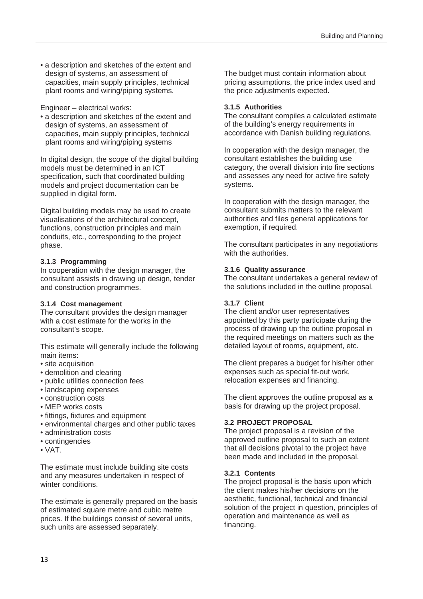• a description and sketches of the extent and design of systems, an assessment of capacities, main supply principles, technical plant rooms and wiring/piping systems.

Engineer – electrical works:

• a description and sketches of the extent and design of systems, an assessment of capacities, main supply principles, technical plant rooms and wiring/piping systems

In digital design, the scope of the digital building models must be determined in an ICT specification, such that coordinated building models and project documentation can be supplied in digital form.

Digital building models may be used to create visualisations of the architectural concept, functions, construction principles and main conduits, etc., corresponding to the project phase.

#### **3.1.3 Programming**

In cooperation with the design manager, the consultant assists in drawing up design, tender and construction programmes.

#### **3.1.4 Cost management**

The consultant provides the design manager with a cost estimate for the works in the consultant's scope.

This estimate will generally include the following main items:

- site acquisition
- demolition and clearing
- public utilities connection fees
- landscaping expenses
- construction costs
- MEP works costs
- fittings, fixtures and equipment
- environmental charges and other public taxes
- administration costs
- contingencies
- VAT.

The estimate must include building site costs and any measures undertaken in respect of winter conditions.

The estimate is generally prepared on the basis of estimated square metre and cubic metre prices. If the buildings consist of several units, such units are assessed separately.

The budget must contain information about pricing assumptions, the price index used and the price adjustments expected.

#### **3.1.5 Authorities**

The consultant compiles a calculated estimate of the building's energy requirements in accordance with Danish building regulations.

In cooperation with the design manager, the consultant establishes the building use category, the overall division into fire sections and assesses any need for active fire safety systems.

In cooperation with the design manager, the consultant submits matters to the relevant authorities and files general applications for exemption, if required.

The consultant participates in any negotiations with the authorities.

#### **3.1.6 Quality assurance**

The consultant undertakes a general review of the solutions included in the outline proposal.

#### **3.1.7 Client**

The client and/or user representatives appointed by this party participate during the process of drawing up the outline proposal in the required meetings on matters such as the detailed layout of rooms, equipment, etc.

The client prepares a budget for his/her other expenses such as special fit-out work, relocation expenses and financing.

The client approves the outline proposal as a basis for drawing up the project proposal.

#### **3.2 PROJECT PROPOSAL**

The project proposal is a revision of the approved outline proposal to such an extent that all decisions pivotal to the project have been made and included in the proposal.

#### **3.2.1 Contents**

The project proposal is the basis upon which the client makes his/her decisions on the aesthetic, functional, technical and financial solution of the project in question, principles of operation and maintenance as well as financing.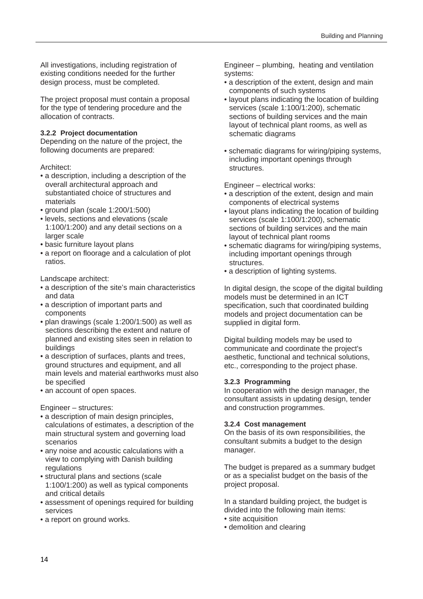All investigations, including registration of existing conditions needed for the further design process, must be completed.

The project proposal must contain a proposal for the type of tendering procedure and the allocation of contracts.

#### **3.2.2 Project documentation**

Depending on the nature of the project, the following documents are prepared:

#### Architect:

- a description, including a description of the overall architectural approach and substantiated choice of structures and materials
- ground plan (scale 1:200/1:500)
- levels, sections and elevations (scale 1:100/1:200) and any detail sections on a larger scale
- basic furniture layout plans
- a report on floorage and a calculation of plot ratios.

Landscape architect:

- a description of the site's main characteristics and data
- a description of important parts and components
- plan drawings (scale 1:200/1:500) as well as sections describing the extent and nature of planned and existing sites seen in relation to buildings
- a description of surfaces, plants and trees, ground structures and equipment, and all main levels and material earthworks must also be specified
- an account of open spaces.

Engineer – structures:

- a description of main design principles, calculations of estimates, a description of the main structural system and governing load scenarios
- any noise and acoustic calculations with a view to complying with Danish building regulations
- structural plans and sections (scale 1:100/1:200) as well as typical components and critical details
- assessment of openings required for building services
- a report on ground works.

Engineer – plumbing, heating and ventilation systems:

- a description of the extent, design and main components of such systems
- layout plans indicating the location of building services (scale 1:100/1:200), schematic sections of building services and the main layout of technical plant rooms, as well as schematic diagrams
- schematic diagrams for wiring/piping systems, including important openings through structures.

Engineer – electrical works:

- a description of the extent, design and main components of electrical systems
- layout plans indicating the location of building services (scale 1:100/1:200), schematic sections of building services and the main layout of technical plant rooms
- schematic diagrams for wiring/piping systems, including important openings through structures.
- a description of lighting systems.

In digital design, the scope of the digital building models must be determined in an ICT specification, such that coordinated building models and project documentation can be supplied in digital form.

Digital building models may be used to communicate and coordinate the project's aesthetic, functional and technical solutions, etc., corresponding to the project phase.

#### **3.2.3 Programming**

In cooperation with the design manager, the consultant assists in updating design, tender and construction programmes.

#### **3.2.4 Cost management**

On the basis of its own responsibilities, the consultant submits a budget to the design manager.

The budget is prepared as a summary budget or as a specialist budget on the basis of the project proposal.

In a standard building project, the budget is divided into the following main items:

- site acquisition
- demolition and clearing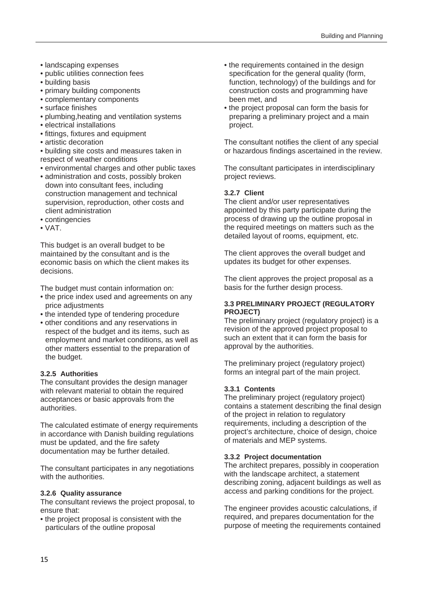- landscaping expenses
- public utilities connection fees
- building basis
- primary building components
- complementary components
- surface finishes
- plumbing,heating and ventilation systems
- electrical installations
- fittings, fixtures and equipment
- artistic decoration
- building site costs and measures taken in respect of weather conditions
- environmental charges and other public taxes
- administration and costs, possibly broken down into consultant fees, including construction management and technical supervision, reproduction, other costs and client administration
- contingencies
- VAT.

This budget is an overall budget to be maintained by the consultant and is the economic basis on which the client makes its decisions.

The budget must contain information on:

- the price index used and agreements on any price adjustments
- the intended type of tendering procedure
- other conditions and any reservations in respect of the budget and its items, such as employment and market conditions, as well as other matters essential to the preparation of the budget.

#### **3.2.5 Authorities**

The consultant provides the design manager with relevant material to obtain the required acceptances or basic approvals from the authorities.

The calculated estimate of energy requirements in accordance with Danish building regulations must be updated, and the fire safety documentation may be further detailed.

The consultant participates in any negotiations with the authorities.

#### **3.2.6 Quality assurance**

The consultant reviews the project proposal, to ensure that:

• the project proposal is consistent with the particulars of the outline proposal

- the requirements contained in the design specification for the general quality (form, function, technology) of the buildings and for construction costs and programming have been met, and
- the project proposal can form the basis for preparing a preliminary project and a main project.

The consultant notifies the client of any special or hazardous findings ascertained in the review.

The consultant participates in interdisciplinary project reviews.

#### **3.2.7 Client**

The client and/or user representatives appointed by this party participate during the process of drawing up the outline proposal in the required meetings on matters such as the detailed layout of rooms, equipment, etc.

The client approves the overall budget and updates its budget for other expenses.

The client approves the project proposal as a basis for the further design process.

#### **3.3 PRELIMINARY PROJECT (REGULATORY PROJECT)**

The preliminary project (regulatory project) is a revision of the approved project proposal to such an extent that it can form the basis for approval by the authorities.

The preliminary project (regulatory project) forms an integral part of the main project.

#### **3.3.1 Contents**

The preliminary project (regulatory project) contains a statement describing the final design of the project in relation to regulatory requirements, including a description of the project's architecture, choice of design, choice of materials and MEP systems.

#### **3.3.2 Project documentation**

The architect prepares, possibly in cooperation with the landscape architect, a statement describing zoning, adjacent buildings as well as access and parking conditions for the project.

The engineer provides acoustic calculations, if required, and prepares documentation for the purpose of meeting the requirements contained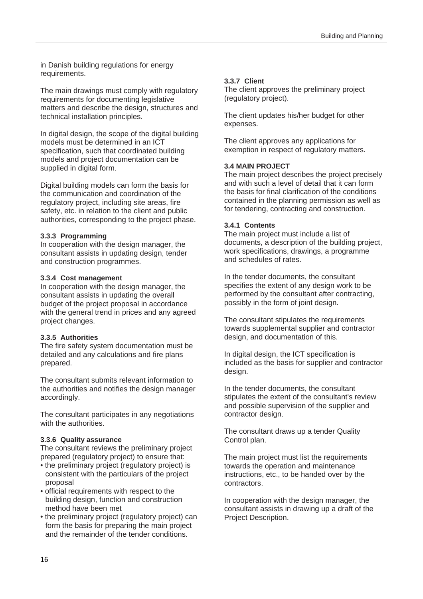in Danish building regulations for energy requirements.

The main drawings must comply with regulatory requirements for documenting legislative matters and describe the design, structures and technical installation principles.

In digital design, the scope of the digital building models must be determined in an ICT specification, such that coordinated building models and project documentation can be supplied in digital form.

Digital building models can form the basis for the communication and coordination of the regulatory project, including site areas, fire safety, etc. in relation to the client and public authorities, corresponding to the project phase.

#### **3.3.3 Programming**

In cooperation with the design manager, the consultant assists in updating design, tender and construction programmes.

#### **3.3.4 Cost management**

In cooperation with the design manager, the consultant assists in updating the overall budget of the project proposal in accordance with the general trend in prices and any agreed project changes.

#### **3.3.5 Authorities**

The fire safety system documentation must be detailed and any calculations and fire plans prepared.

The consultant submits relevant information to the authorities and notifies the design manager accordingly.

The consultant participates in any negotiations with the authorities.

#### **3.3.6 Quality assurance**

The consultant reviews the preliminary project prepared (regulatory project) to ensure that:

- the preliminary project (regulatory project) is consistent with the particulars of the project proposal
- official requirements with respect to the building design, function and construction method have been met
- the preliminary project (regulatory project) can form the basis for preparing the main project and the remainder of the tender conditions.

#### **3.3.7 Client**

The client approves the preliminary project (regulatory project).

The client updates his/her budget for other expenses.

The client approves any applications for exemption in respect of regulatory matters.

#### **3.4 MAIN PROJECT**

The main project describes the project precisely and with such a level of detail that it can form the basis for final clarification of the conditions contained in the planning permission as well as for tendering, contracting and construction.

#### **3.4.1 Contents**

The main project must include a list of documents, a description of the building project, work specifications, drawings, a programme and schedules of rates.

In the tender documents, the consultant specifies the extent of any design work to be performed by the consultant after contracting, possibly in the form of joint design.

The consultant stipulates the requirements towards supplemental supplier and contractor design, and documentation of this.

In digital design, the ICT specification is included as the basis for supplier and contractor design.

In the tender documents, the consultant stipulates the extent of the consultant's review and possible supervision of the supplier and contractor design.

The consultant draws up a tender Quality Control plan.

The main project must list the requirements towards the operation and maintenance instructions, etc., to be handed over by the contractors.

In cooperation with the design manager, the consultant assists in drawing up a draft of the Project Description.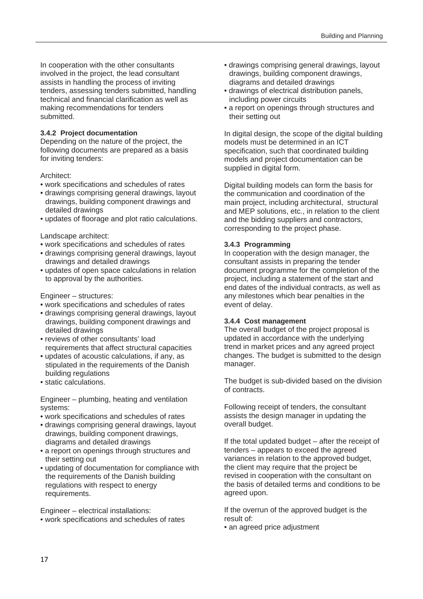In cooperation with the other consultants involved in the project, the lead consultant assists in handling the process of inviting tenders, assessing tenders submitted, handling technical and financial clarification as well as making recommendations for tenders submitted.

#### **3.4.2 Project documentation**

Depending on the nature of the project, the following documents are prepared as a basis for inviting tenders:

#### Architect:

- work specifications and schedules of rates
- drawings comprising general drawings, layout drawings, building component drawings and detailed drawings
- updates of floorage and plot ratio calculations.

#### Landscape architect:

- work specifications and schedules of rates
- drawings comprising general drawings, layout drawings and detailed drawings
- updates of open space calculations in relation to approval by the authorities.

#### Engineer – structures:

- work specifications and schedules of rates
- drawings comprising general drawings, layout drawings, building component drawings and detailed drawings
- reviews of other consultants' load requirements that affect structural capacities
- updates of acoustic calculations, if any, as stipulated in the requirements of the Danish building regulations
- static calculations.

Engineer – plumbing, heating and ventilation systems:

- work specifications and schedules of rates
- drawings comprising general drawings, layout drawings, building component drawings, diagrams and detailed drawings
- a report on openings through structures and their setting out
- updating of documentation for compliance with the requirements of the Danish building regulations with respect to energy requirements.

Engineer – electrical installations:

• work specifications and schedules of rates

- drawings comprising general drawings, layout drawings, building component drawings, diagrams and detailed drawings
- drawings of electrical distribution panels, including power circuits
- a report on openings through structures and their setting out

In digital design, the scope of the digital building models must be determined in an ICT specification, such that coordinated building models and project documentation can be supplied in digital form.

Digital building models can form the basis for the communication and coordination of the main project, including architectural, structural and MEP solutions, etc., in relation to the client and the bidding suppliers and contractors, corresponding to the project phase.

#### **3.4.3 Programming**

In cooperation with the design manager, the consultant assists in preparing the tender document programme for the completion of the project, including a statement of the start and end dates of the individual contracts, as well as any milestones which bear penalties in the event of delay.

#### **3.4.4 Cost management**

The overall budget of the project proposal is updated in accordance with the underlying trend in market prices and any agreed project changes. The budget is submitted to the design manager.

The budget is sub-divided based on the division of contracts.

Following receipt of tenders, the consultant assists the design manager in updating the overall budget.

If the total updated budget – after the receipt of tenders – appears to exceed the agreed variances in relation to the approved budget, the client may require that the project be revised in cooperation with the consultant on the basis of detailed terms and conditions to be agreed upon.

If the overrun of the approved budget is the result of:

• an agreed price adjustment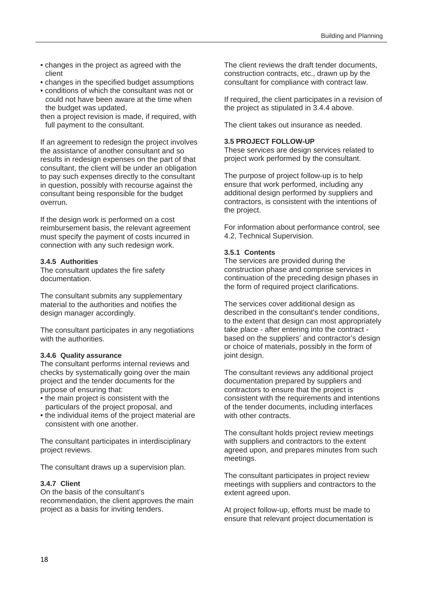- changes in the project as agreed with the client
- changes in the specified budget assumptions
- conditions of which the consultant was not or could not have been aware at the time when the budget was updated,
- then a project revision is made, if required, with full payment to the consultant.

If an agreement to redesign the project involves the assistance of another consultant and so results in redesign expenses on the part of that consultant, the client will be under an obligation to pay such expenses directly to the consultant in question, possibly with recourse against the consultant being responsible for the budget overrun.

If the design work is performed on a cost reimbursement basis, the relevant agreement must specify the payment of costs incurred in connection with any such redesign work.

#### **3.4.5 Authorities**

The consultant updates the fire safety documentation.

The consultant submits any supplementary material to the authorities and notifies the design manager accordingly.

The consultant participates in any negotiations with the authorities.

#### **3.4.6 Quality assurance**

The consultant performs internal reviews and checks by systematically going over the main project and the tender documents for the purpose of ensuring that:

- the main project is consistent with the particulars of the project proposal, and
- the individual items of the project material are consistent with one another.

The consultant participates in interdisciplinary project reviews.

The consultant draws up a supervision plan.

#### **3.4.7 Client**

On the basis of the consultant's recommendation, the client approves the main project as a basis for inviting tenders.

The client reviews the draft tender documents, construction contracts, etc., drawn up by the consultant for compliance with contract law.

If required, the client participates in a revision of the project as stipulated in 3.4.4 above.

The client takes out insurance as needed.

#### **3.5 PROJECT FOLLOW-UP**

These services are design services related to project work performed by the consultant.

The purpose of project follow-up is to help ensure that work performed, including any additional design performed by suppliers and contractors, is consistent with the intentions of the project.

For information about performance control, see 4.2, Technical Supervision.

#### **3.5.1 Contents**

The services are provided during the construction phase and comprise services in continuation of the preceding design phases in the form of required project clarifications.

The services cover additional design as described in the consultant's tender conditions, to the extent that design can most appropriately take place - after entering into the contract based on the suppliers' and contractor's design or choice of materials, possibly in the form of joint design.

The consultant reviews any additional project documentation prepared by suppliers and contractors to ensure that the project is consistent with the requirements and intentions of the tender documents, including interfaces with other contracts.

The consultant holds project review meetings with suppliers and contractors to the extent agreed upon, and prepares minutes from such meetings.

The consultant participates in project review meetings with suppliers and contractors to the extent agreed upon.

At project follow-up, efforts must be made to ensure that relevant project documentation is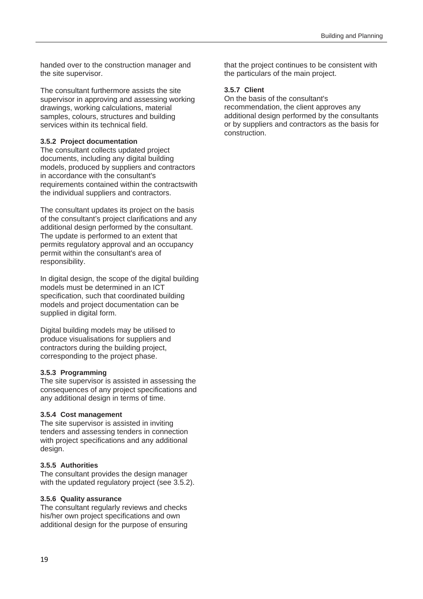handed over to the construction manager and the site supervisor.

The consultant furthermore assists the site supervisor in approving and assessing working drawings, working calculations, material samples, colours, structures and building services within its technical field.

#### **3.5.2 Project documentation**

The consultant collects updated project documents, including any digital building models, produced by suppliers and contractors in accordance with the consultant's requirements contained within the contractswith the individual suppliers and contractors.

The consultant updates its project on the basis of the consultant's project clarifications and any additional design performed by the consultant. The update is performed to an extent that permits regulatory approval and an occupancy permit within the consultant's area of responsibility.

In digital design, the scope of the digital building models must be determined in an ICT specification, such that coordinated building models and project documentation can be supplied in digital form.

Digital building models may be utilised to produce visualisations for suppliers and contractors during the building project, corresponding to the project phase.

#### **3.5.3 Programming**

The site supervisor is assisted in assessing the consequences of any project specifications and any additional design in terms of time.

#### **3.5.4 Cost management**

The site supervisor is assisted in inviting tenders and assessing tenders in connection with project specifications and any additional design.

#### **3.5.5 Authorities**

The consultant provides the design manager with the updated regulatory project (see 3.5.2).

#### **3.5.6 Quality assurance**

The consultant regularly reviews and checks his/her own project specifications and own additional design for the purpose of ensuring that the project continues to be consistent with the particulars of the main project.

#### **3.5.7 Client**

On the basis of the consultant's recommendation, the client approves any additional design performed by the consultants or by suppliers and contractors as the basis for construction.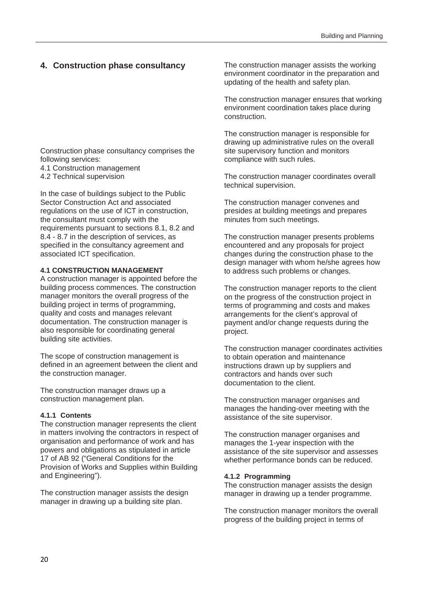#### **4. Construction phase consultancy**

Construction phase consultancy comprises the following services:

- 4.1 Construction management
- 4.2 Technical supervision

In the case of buildings subject to the Public Sector Construction Act and associated regulations on the use of ICT in construction, the consultant must comply with the requirements pursuant to sections 8.1, 8.2 and 8.4 - 8.7 in the description of services, as specified in the consultancy agreement and associated ICT specification.

#### **4.1 CONSTRUCTION MANAGEMENT**

A construction manager is appointed before the building process commences. The construction manager monitors the overall progress of the building project in terms of programming, quality and costs and manages relevant documentation. The construction manager is also responsible for coordinating general building site activities.

The scope of construction management is defined in an agreement between the client and the construction manager.

The construction manager draws up a construction management plan.

#### **4.1.1 Contents**

The construction manager represents the client in matters involving the contractors in respect of organisation and performance of work and has powers and obligations as stipulated in article 17 of AB 92 ("General Conditions for the Provision of Works and Supplies within Building and Engineering").

The construction manager assists the design manager in drawing up a building site plan.

The construction manager assists the working environment coordinator in the preparation and updating of the health and safety plan.

The construction manager ensures that working environment coordination takes place during construction.

The construction manager is responsible for drawing up administrative rules on the overall site supervisory function and monitors compliance with such rules.

The construction manager coordinates overall technical supervision.

The construction manager convenes and presides at building meetings and prepares minutes from such meetings.

The construction manager presents problems encountered and any proposals for project changes during the construction phase to the design manager with whom he/she agrees how to address such problems or changes.

The construction manager reports to the client on the progress of the construction project in terms of programming and costs and makes arrangements for the client's approval of payment and/or change requests during the project.

The construction manager coordinates activities to obtain operation and maintenance instructions drawn up by suppliers and contractors and hands over such documentation to the client.

The construction manager organises and manages the handing-over meeting with the assistance of the site supervisor.

The construction manager organises and manages the 1-year inspection with the assistance of the site supervisor and assesses whether performance bonds can be reduced.

#### **4.1.2 Programming**

The construction manager assists the design manager in drawing up a tender programme.

The construction manager monitors the overall progress of the building project in terms of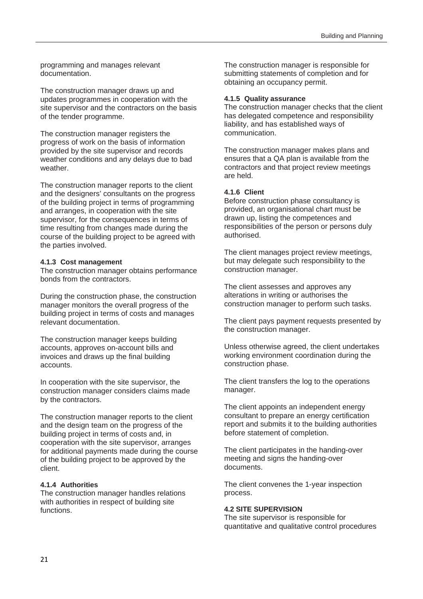programming and manages relevant documentation.

The construction manager draws up and updates programmes in cooperation with the site supervisor and the contractors on the basis of the tender programme.

The construction manager registers the progress of work on the basis of information provided by the site supervisor and records weather conditions and any delays due to bad weather.

The construction manager reports to the client and the designers' consultants on the progress of the building project in terms of programming and arranges, in cooperation with the site supervisor, for the consequences in terms of time resulting from changes made during the course of the building project to be agreed with the parties involved.

#### **4.1.3 Cost management**

The construction manager obtains performance bonds from the contractors.

During the construction phase, the construction manager monitors the overall progress of the building project in terms of costs and manages relevant documentation.

The construction manager keeps building accounts, approves on-account bills and invoices and draws up the final building accounts.

In cooperation with the site supervisor, the construction manager considers claims made by the contractors.

The construction manager reports to the client and the design team on the progress of the building project in terms of costs and, in cooperation with the site supervisor, arranges for additional payments made during the course of the building project to be approved by the client.

#### **4.1.4 Authorities**

The construction manager handles relations with authorities in respect of building site functions.

The construction manager is responsible for submitting statements of completion and for obtaining an occupancy permit.

#### **4.1.5 Quality assurance**

The construction manager checks that the client has delegated competence and responsibility liability, and has established ways of communication.

The construction manager makes plans and ensures that a QA plan is available from the contractors and that project review meetings are held.

#### **4.1.6 Client**

Before construction phase consultancy is provided, an organisational chart must be drawn up, listing the competences and responsibilities of the person or persons duly authorised.

The client manages project review meetings, but may delegate such responsibility to the construction manager.

The client assesses and approves any alterations in writing or authorises the construction manager to perform such tasks.

The client pays payment requests presented by the construction manager.

Unless otherwise agreed, the client undertakes working environment coordination during the construction phase.

The client transfers the log to the operations manager.

The client appoints an independent energy consultant to prepare an energy certification report and submits it to the building authorities before statement of completion.

The client participates in the handing-over meeting and signs the handing-over documents.

The client convenes the 1-year inspection process.

#### **4.2 SITE SUPERVISION**

The site supervisor is responsible for quantitative and qualitative control procedures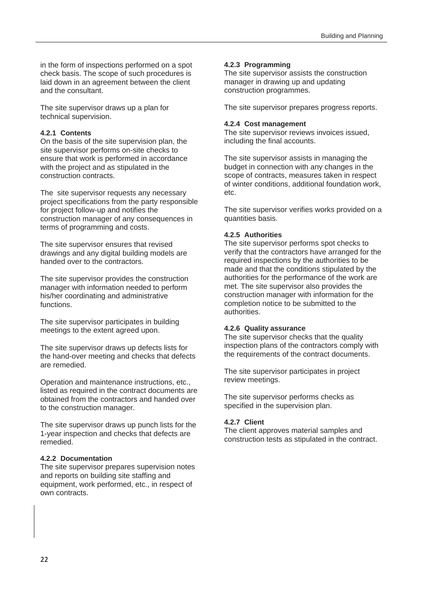in the form of inspections performed on a spot check basis. The scope of such procedures is laid down in an agreement between the client and the consultant.

The site supervisor draws up a plan for technical supervision.

#### **4.2.1 Contents**

On the basis of the site supervision plan, the site supervisor performs on-site checks to ensure that work is performed in accordance with the project and as stipulated in the construction contracts.

The site supervisor requests any necessary project specifications from the party responsible for project follow-up and notifies the construction manager of any consequences in terms of programming and costs.

The site supervisor ensures that revised drawings and any digital building models are handed over to the contractors.

The site supervisor provides the construction manager with information needed to perform his/her coordinating and administrative functions.

The site supervisor participates in building meetings to the extent agreed upon.

The site supervisor draws up defects lists for the hand-over meeting and checks that defects are remedied.

Operation and maintenance instructions, etc., listed as required in the contract documents are obtained from the contractors and handed over to the construction manager.

The site supervisor draws up punch lists for the 1-year inspection and checks that defects are remedied.

#### **4.2.2 Documentation**

The site supervisor prepares supervision notes and reports on building site staffing and equipment, work performed, etc., in respect of own contracts.

#### **4.2.3 Programming**

The site supervisor assists the construction manager in drawing up and updating construction programmes.

The site supervisor prepares progress reports.

#### **4.2.4 Cost management**

The site supervisor reviews invoices issued, including the final accounts.

The site supervisor assists in managing the budget in connection with any changes in the scope of contracts, measures taken in respect of winter conditions, additional foundation work, etc.

The site supervisor verifies works provided on a quantities basis.

#### **4.2.5 Authorities**

The site supervisor performs spot checks to verify that the contractors have arranged for the required inspections by the authorities to be made and that the conditions stipulated by the authorities for the performance of the work are met. The site supervisor also provides the construction manager with information for the completion notice to be submitted to the authorities.

#### **4.2.6 Quality assurance**

The site supervisor checks that the quality inspection plans of the contractors comply with the requirements of the contract documents.

The site supervisor participates in project review meetings.

The site supervisor performs checks as specified in the supervision plan.

#### **4.2.7 Client**

The client approves material samples and construction tests as stipulated in the contract.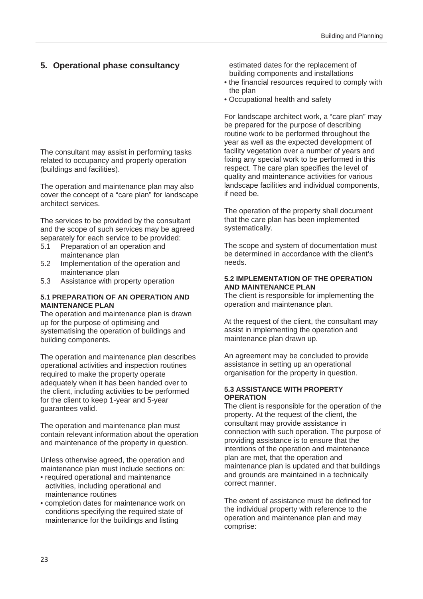#### **5. Operational phase consultancy**

The consultant may assist in performing tasks related to occupancy and property operation (buildings and facilities).

The operation and maintenance plan may also cover the concept of a "care plan" for landscape architect services.

The services to be provided by the consultant and the scope of such services may be agreed separately for each service to be provided:

- 5.1 Preparation of an operation and maintenance plan
- 5.2 Implementation of the operation and maintenance plan
- 5.3 Assistance with property operation

#### **5.1 PREPARATION OF AN OPERATION AND MAINTENANCE PLAN**

The operation and maintenance plan is drawn up for the purpose of optimising and systematising the operation of buildings and building components.

The operation and maintenance plan describes operational activities and inspection routines required to make the property operate adequately when it has been handed over to the client, including activities to be performed for the client to keep 1-year and 5-year guarantees valid.

The operation and maintenance plan must contain relevant information about the operation and maintenance of the property in question.

Unless otherwise agreed, the operation and maintenance plan must include sections on:

- required operational and maintenance activities, including operational and maintenance routines
- completion dates for maintenance work on conditions specifying the required state of maintenance for the buildings and listing

estimated dates for the replacement of building components and installations

- the financial resources required to comply with the plan
- Occupational health and safety

For landscape architect work, a "care plan" may be prepared for the purpose of describing routine work to be performed throughout the year as well as the expected development of facility vegetation over a number of years and fixing any special work to be performed in this respect. The care plan specifies the level of quality and maintenance activities for various landscape facilities and individual components, if need be.

The operation of the property shall document that the care plan has been implemented systematically.

The scope and system of documentation must be determined in accordance with the client's needs.

#### **5.2 IMPLEMENTATION OF THE OPERATION AND MAINTENANCE PLAN**

The client is responsible for implementing the operation and maintenance plan.

At the request of the client, the consultant may assist in implementing the operation and maintenance plan drawn up.

An agreement may be concluded to provide assistance in setting up an operational organisation for the property in question.

#### **5.3 ASSISTANCE WITH PROPERTY OPERATION**

The client is responsible for the operation of the property. At the request of the client, the consultant may provide assistance in connection with such operation. The purpose of providing assistance is to ensure that the intentions of the operation and maintenance plan are met, that the operation and maintenance plan is updated and that buildings and grounds are maintained in a technically correct manner.

The extent of assistance must be defined for the individual property with reference to the operation and maintenance plan and may comprise: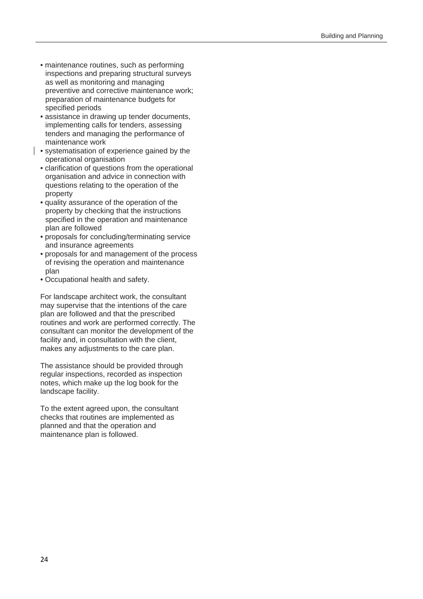- maintenance routines, such as performing inspections and preparing structural surveys as well as monitoring and managing preventive and corrective maintenance work; preparation of maintenance budgets for specified periods
- assistance in drawing up tender documents, implementing calls for tenders, assessing tenders and managing the performance of maintenance work
- systematisation of experience gained by the operational organisation
	- clarification of questions from the operational organisation and advice in connection with questions relating to the operation of the property
	- quality assurance of the operation of the property by checking that the instructions specified in the operation and maintenance plan are followed
	- proposals for concluding/terminating service and insurance agreements
	- proposals for and management of the process of revising the operation and maintenance plan
	- Occupational health and safety.

For landscape architect work, the consultant may supervise that the intentions of the care plan are followed and that the prescribed routines and work are performed correctly. The consultant can monitor the development of the facility and, in consultation with the client, makes any adjustments to the care plan.

The assistance should be provided through regular inspections, recorded as inspection notes, which make up the log book for the landscape facility.

To the extent agreed upon, the consultant checks that routines are implemented as planned and that the operation and maintenance plan is followed.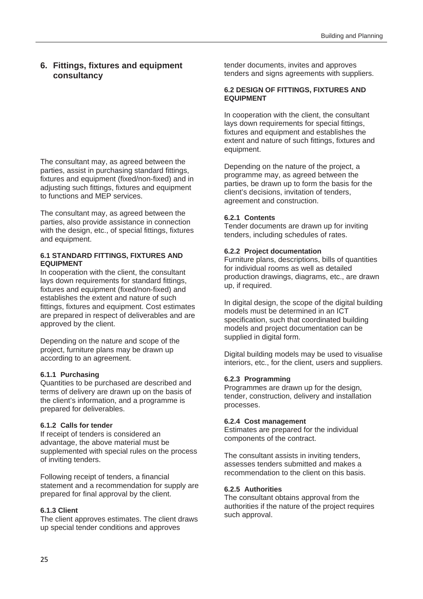#### **6. Fittings, fixtures and equipment consultancy**

The consultant may, as agreed between the parties, assist in purchasing standard fittings, fixtures and equipment (fixed/non-fixed) and in adjusting such fittings, fixtures and equipment to functions and MEP services.

The consultant may, as agreed between the parties, also provide assistance in connection with the design, etc., of special fittings, fixtures and equipment.

#### **6.1 STANDARD FITTINGS, FIXTURES AND EQUIPMENT**

In cooperation with the client, the consultant lays down requirements for standard fittings, fixtures and equipment (fixed/non-fixed) and establishes the extent and nature of such fittings, fixtures and equipment. Cost estimates are prepared in respect of deliverables and are approved by the client.

Depending on the nature and scope of the project, furniture plans may be drawn up according to an agreement.

#### **6.1.1 Purchasing**

Quantities to be purchased are described and terms of delivery are drawn up on the basis of the client's information, and a programme is prepared for deliverables.

#### **6.1.2 Calls for tender**

If receipt of tenders is considered an advantage, the above material must be supplemented with special rules on the process of inviting tenders.

Following receipt of tenders, a financial statement and a recommendation for supply are prepared for final approval by the client.

#### **6.1.3 Client**

The client approves estimates. The client draws up special tender conditions and approves

tender documents, invites and approves tenders and signs agreements with suppliers.

#### **6.2 DESIGN OF FITTINGS, FIXTURES AND EQUIPMENT**

In cooperation with the client, the consultant lays down requirements for special fittings, fixtures and equipment and establishes the extent and nature of such fittings, fixtures and equipment.

Depending on the nature of the project, a programme may, as agreed between the parties, be drawn up to form the basis for the client's decisions, invitation of tenders, agreement and construction.

#### **6.2.1 Contents**

Tender documents are drawn up for inviting tenders, including schedules of rates.

#### **6.2.2 Project documentation**

Furniture plans, descriptions, bills of quantities for individual rooms as well as detailed production drawings, diagrams, etc., are drawn up, if required.

In digital design, the scope of the digital building models must be determined in an ICT specification, such that coordinated building models and project documentation can be supplied in digital form.

Digital building models may be used to visualise interiors, etc., for the client, users and suppliers.

#### **6.2.3 Programming**

Programmes are drawn up for the design, tender, construction, delivery and installation processes.

#### **6.2.4 Cost management**

Estimates are prepared for the individual components of the contract.

The consultant assists in inviting tenders, assesses tenders submitted and makes a recommendation to the client on this basis.

#### **6.2.5 Authorities**

The consultant obtains approval from the authorities if the nature of the project requires such approval.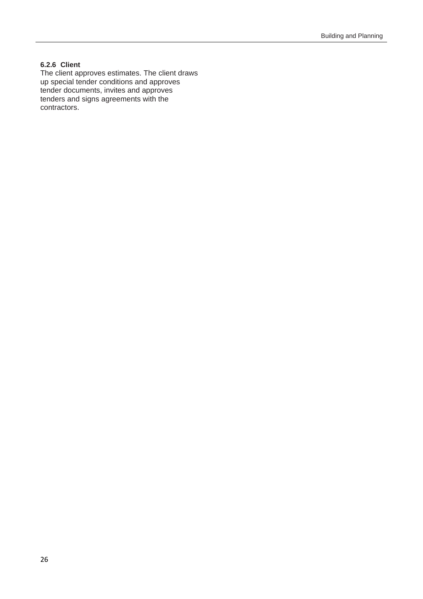#### **6.2.6 Client**

The client approves estimates. The client draws up special tender conditions and approves tender documents, invites and approves tenders and signs agreements with the contractors.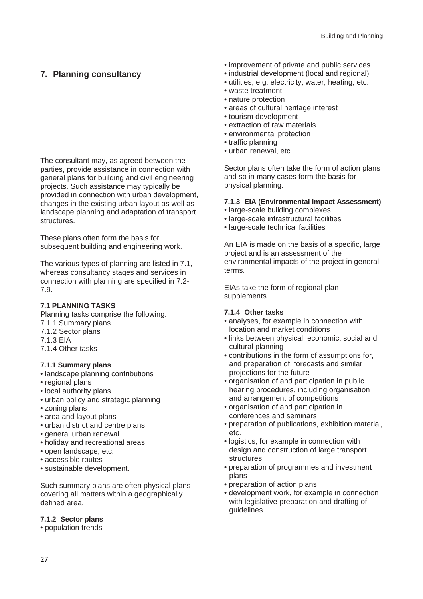#### **7. Planning consultancy**

The consultant may, as agreed between the parties, provide assistance in connection with general plans for building and civil engineering projects. Such assistance may typically be provided in connection with urban development, changes in the existing urban layout as well as landscape planning and adaptation of transport structures.

These plans often form the basis for subsequent building and engineering work.

The various types of planning are listed in 7.1, whereas consultancy stages and services in connection with planning are specified in 7.2- 7.9.

#### **7.1 PLANNING TASKS**

Planning tasks comprise the following:

- 7.1.1 Summary plans
- 7.1.2 Sector plans
- 7.1.3 EIA
- 7.1.4 Other tasks

#### **7.1.1 Summary plans**

- landscape planning contributions
- regional plans
- local authority plans
- urban policy and strategic planning
- zoning plans
- area and layout plans
- urban district and centre plans
- general urban renewal
- holiday and recreational areas
- open landscape, etc.
- accessible routes
- sustainable development.

Such summary plans are often physical plans covering all matters within a geographically defined area.

#### **7.1.2 Sector plans**

• population trends

- improvement of private and public services
- industrial development (local and regional)
- utilities, e.g. electricity, water, heating, etc.
- waste treatment
- nature protection
- areas of cultural heritage interest
- tourism development
- extraction of raw materials
- environmental protection
- traffic planning
- urban renewal, etc.

Sector plans often take the form of action plans and so in many cases form the basis for physical planning.

#### **7.1.3 EIA (Environmental Impact Assessment)**

- large-scale building complexes
- large-scale infrastructural facilities
- large-scale technical facilities

An EIA is made on the basis of a specific, large project and is an assessment of the environmental impacts of the project in general terms.

EIAs take the form of regional plan supplements.

#### **7.1.4 Other tasks**

- analyses, for example in connection with location and market conditions
- links between physical, economic, social and cultural planning
- contributions in the form of assumptions for, and preparation of, forecasts and similar projections for the future
- organisation of and participation in public hearing procedures, including organisation and arrangement of competitions
- organisation of and participation in conferences and seminars
- preparation of publications, exhibition material, etc.
- logistics, for example in connection with design and construction of large transport structures
- preparation of programmes and investment plans
- preparation of action plans
- development work, for example in connection with legislative preparation and drafting of guidelines.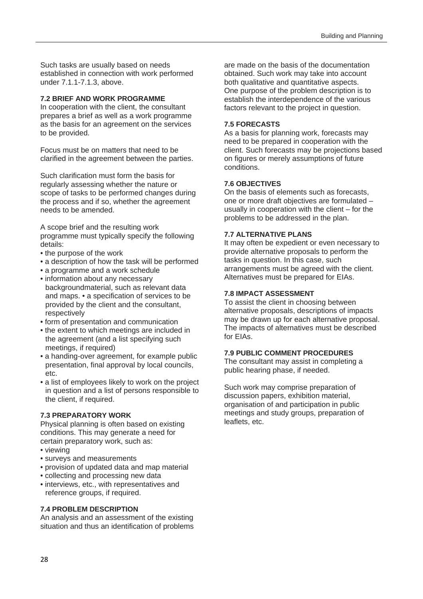Such tasks are usually based on needs established in connection with work performed under 7.1.1-7.1.3, above.

#### **7.2 BRIEF AND WORK PROGRAMME**

In cooperation with the client, the consultant prepares a brief as well as a work programme as the basis for an agreement on the services to be provided.

Focus must be on matters that need to be clarified in the agreement between the parties.

Such clarification must form the basis for regularly assessing whether the nature or scope of tasks to be performed changes during the process and if so, whether the agreement needs to be amended.

A scope brief and the resulting work programme must typically specify the following details:

- the purpose of the work
- a description of how the task will be performed
- a programme and a work schedule
- information about any necessary backgroundmaterial, such as relevant data and maps. • a specification of services to be provided by the client and the consultant, respectively
- form of presentation and communication
- the extent to which meetings are included in the agreement (and a list specifying such meetings, if required)
- a handing-over agreement, for example public presentation, final approval by local councils, etc.
- a list of employees likely to work on the project in question and a list of persons responsible to the client, if required.

#### **7.3 PREPARATORY WORK**

Physical planning is often based on existing conditions. This may generate a need for certain preparatory work, such as:

- viewing
- surveys and measurements
- provision of updated data and map material
- collecting and processing new data
- interviews, etc., with representatives and reference groups, if required.

#### **7.4 PROBLEM DESCRIPTION**

An analysis and an assessment of the existing situation and thus an identification of problems are made on the basis of the documentation obtained. Such work may take into account both qualitative and quantitative aspects. One purpose of the problem description is to establish the interdependence of the various factors relevant to the project in question.

#### **7.5 FORECASTS**

As a basis for planning work, forecasts may need to be prepared in cooperation with the client. Such forecasts may be projections based on figures or merely assumptions of future conditions.

#### **7.6 OBJECTIVES**

On the basis of elements such as forecasts one or more draft objectives are formulated – usually in cooperation with the client – for the problems to be addressed in the plan.

#### **7.7 ALTERNATIVE PLANS**

It may often be expedient or even necessary to provide alternative proposals to perform the tasks in question. In this case, such arrangements must be agreed with the client. Alternatives must be prepared for EIAs.

#### **7.8 IMPACT ASSESSMENT**

To assist the client in choosing between alternative proposals, descriptions of impacts may be drawn up for each alternative proposal. The impacts of alternatives must be described for EIAs.

#### **7.9 PUBLIC COMMENT PROCEDURES**

The consultant may assist in completing a public hearing phase, if needed.

Such work may comprise preparation of discussion papers, exhibition material, organisation of and participation in public meetings and study groups, preparation of leaflets, etc.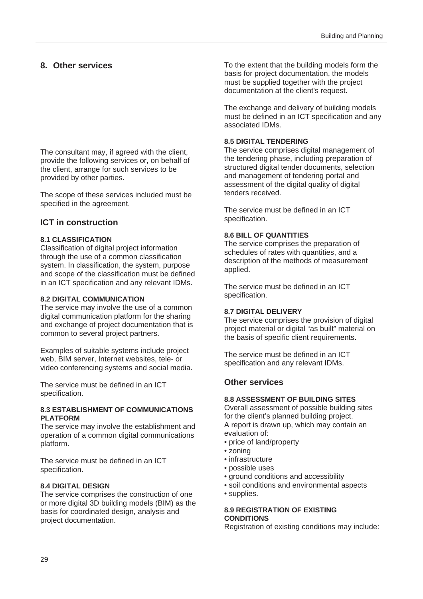#### **8. Other services**

The consultant may, if agreed with the client, provide the following services or, on behalf of the client, arrange for such services to be provided by other parties.

The scope of these services included must be specified in the agreement.

#### **ICT in construction**

#### **8.1 CLASSIFICATION**

Classification of digital project information through the use of a common classification system. In classification, the system, purpose and scope of the classification must be defined in an ICT specification and any relevant IDMs.

#### **8.2 DIGITAL COMMUNICATION**

The service may involve the use of a common digital communication platform for the sharing and exchange of project documentation that is common to several project partners.

Examples of suitable systems include project web, BIM server, Internet websites, tele- or video conferencing systems and social media.

The service must be defined in an ICT specification.

#### **8.3 ESTABLISHMENT OF COMMUNICATIONS PLATFORM**

The service may involve the establishment and operation of a common digital communications platform.

The service must be defined in an ICT specification.

#### **8.4 DIGITAL DESIGN**

The service comprises the construction of one or more digital 3D building models (BIM) as the basis for coordinated design, analysis and project documentation.

To the extent that the building models form the basis for project documentation, the models must be supplied together with the project documentation at the client's request.

The exchange and delivery of building models must be defined in an ICT specification and any associated IDMs.

#### **8.5 DIGITAL TENDERING**

The service comprises digital management of the tendering phase, including preparation of structured digital tender documents, selection and management of tendering portal and assessment of the digital quality of digital tenders received.

The service must be defined in an ICT specification.

#### **8.6 BILL OF QUANTITIES**

The service comprises the preparation of schedules of rates with quantities, and a description of the methods of measurement applied.

The service must be defined in an ICT specification.

#### **8.7 DIGITAL DELIVERY**

The service comprises the provision of digital project material or digital "as built" material on the basis of specific client requirements.

The service must be defined in an ICT specification and any relevant IDMs.

#### **Other services**

#### **8.8 ASSESSMENT OF BUILDING SITES**

Overall assessment of possible building sites for the client's planned building project. A report is drawn up, which may contain an evaluation of:

- price of land/property
- zoning
- infrastructure
- possible uses
- ground conditions and accessibility
- soil conditions and environmental aspects
- supplies.

#### **8.9 REGISTRATION OF EXISTING CONDITIONS**

Registration of existing conditions may include: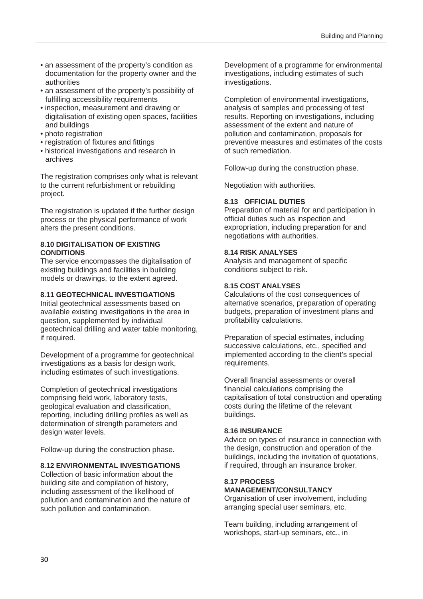- an assessment of the property's condition as documentation for the property owner and the authorities
- an assessment of the property's possibility of fulfilling accessibility requirements
- inspection, measurement and drawing or digitalisation of existing open spaces, facilities and buildings
- photo registration
- registration of fixtures and fittings
- historical investigations and research in archives

The registration comprises only what is relevant to the current refurbishment or rebuilding project.

The registration is updated if the further design process or the physical performance of work alters the present conditions.

#### **8.10 DIGITALISATION OF EXISTING CONDITIONS**

The service encompasses the digitalisation of existing buildings and facilities in building models or drawings, to the extent agreed.

#### **8.11 GEOTECHNICAL INVESTIGATIONS**

Initial geotechnical assessments based on available existing investigations in the area in question, supplemented by individual geotechnical drilling and water table monitoring, if required.

Development of a programme for geotechnical investigations as a basis for design work, including estimates of such investigations.

Completion of geotechnical investigations comprising field work, laboratory tests, geological evaluation and classification, reporting, including drilling profiles as well as determination of strength parameters and design water levels.

Follow-up during the construction phase.

#### **8.12 ENVIRONMENTAL INVESTIGATIONS**

Collection of basic information about the building site and compilation of history, including assessment of the likelihood of pollution and contamination and the nature of such pollution and contamination.

Development of a programme for environmental investigations, including estimates of such investigations.

Completion of environmental investigations, analysis of samples and processing of test results. Reporting on investigations, including assessment of the extent and nature of pollution and contamination, proposals for preventive measures and estimates of the costs of such remediation.

Follow-up during the construction phase.

Negotiation with authorities.

#### **8.13 OFFICIAL DUTIES**

Preparation of material for and participation in official duties such as inspection and expropriation, including preparation for and negotiations with authorities.

#### **8.14 RISK ANALYSES**

Analysis and management of specific conditions subject to risk.

#### **8.15 COST ANALYSES**

Calculations of the cost consequences of alternative scenarios, preparation of operating budgets, preparation of investment plans and profitability calculations.

Preparation of special estimates, including successive calculations, etc., specified and implemented according to the client's special requirements.

Overall financial assessments or overall financial calculations comprising the capitalisation of total construction and operating costs during the lifetime of the relevant buildings.

#### **8.16 INSURANCE**

Advice on types of insurance in connection with the design, construction and operation of the buildings, including the invitation of quotations, if required, through an insurance broker.

#### **8.17 PROCESS**

#### **MANAGEMENT/CONSULTANCY**

Organisation of user involvement, including arranging special user seminars, etc.

Team building, including arrangement of workshops, start-up seminars, etc., in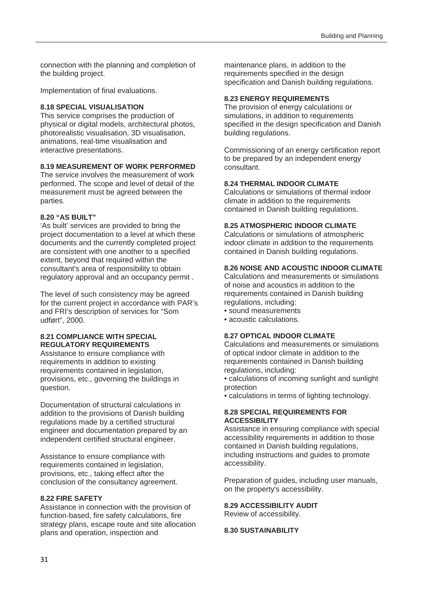connection with the planning and completion of the building project.

Implementation of final evaluations.

#### **8.18 SPECIAL VISUALISATION**

This service comprises the production of physical or digital models, architectural photos, photorealistic visualisation, 3D visualisation, animations, real-time visualisation and interactive presentations.

#### **8.19 MEASUREMENT OF WORK PERFORMED**

The service involves the measurement of work performed. The scope and level of detail of the measurement must be agreed between the parties.

#### **8.20 "AS BUILT"**

'As built' services are provided to bring the project documentation to a level at which these documents and the currently completed project are consistent with one another to a specified extent, beyond that required within the consultant's area of responsibility to obtain regulatory approval and an occupancy permit .

The level of such consistency may be agreed for the current project in accordance with PAR's and FRI's description of services for "Som udført", 2000.

#### **8.21 COMPLIANCE WITH SPECIAL REGULATORY REQUIREMENTS**

Assistance to ensure compliance with requirements in addition to existing requirements contained in legislation. provisions, etc., governing the buildings in question.

Documentation of structural calculations in addition to the provisions of Danish building regulations made by a certified structural engineer and documentation prepared by an independent certified structural engineer.

Assistance to ensure compliance with requirements contained in legislation, provisions, etc., taking effect after the conclusion of the consultancy agreement.

#### **8.22 FIRE SAFETY**

Assistance in connection with the provision of function-based, fire safety calculations, fire strategy plans, escape route and site allocation plans and operation, inspection and

maintenance plans, in addition to the requirements specified in the design specification and Danish building regulations.

#### **8.23 ENERGY REQUIREMENTS**

The provision of energy calculations or simulations, in addition to requirements specified in the design specification and Danish building regulations.

Commissioning of an energy certification report to be prepared by an independent energy consultant.

#### **8.24 THERMAL INDOOR CLIMATE**

Calculations or simulations of thermal indoor climate in addition to the requirements contained in Danish building regulations.

#### **8.25 ATMOSPHERIC INDOOR CLIMATE**

Calculations or simulations of atmospheric indoor climate in addition to the requirements contained in Danish building regulations.

#### **8.26 NOISE AND ACOUSTIC INDOOR CLIMATE**

Calculations and measurements or simulations of noise and acoustics in addition to the requirements contained in Danish building regulations, including:

- sound measurements
- acoustic calculations.

#### **8.27 OPTICAL INDOOR CLIMATE**

Calculations and measurements or simulations of optical indoor climate in addition to the requirements contained in Danish building regulations, including:

• calculations of incoming sunlight and sunlight protection

• calculations in terms of lighting technology.

#### **8.28 SPECIAL REQUIREMENTS FOR ACCESSIBILITY**

Assistance in ensuring compliance with special accessibility requirements in addition to those contained in Danish building regulations, including instructions and guides to promote accessibility.

Preparation of guides, including user manuals, on the property's accessibility.

### **8.29 ACCESSIBILITY AUDIT**

Review of accessibility.

#### **8.30 SUSTAINABILITY**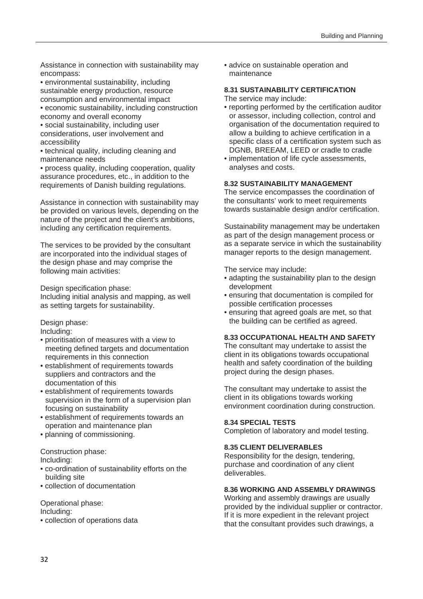Assistance in connection with sustainability may encompass:

• environmental sustainability, including sustainable energy production, resource consumption and environmental impact

• economic sustainability, including construction economy and overall economy

• social sustainability, including user considerations, user involvement and accessibility

• technical quality, including cleaning and maintenance needs

• process quality, including cooperation, quality assurance procedures, etc., in addition to the requirements of Danish building regulations.

Assistance in connection with sustainability may be provided on various levels, depending on the nature of the project and the client's ambitions, including any certification requirements.

The services to be provided by the consultant are incorporated into the individual stages of the design phase and may comprise the following main activities:

Design specification phase:

Including initial analysis and mapping, as well as setting targets for sustainability.

Design phase:

Including:

- prioritisation of measures with a view to meeting defined targets and documentation requirements in this connection
- establishment of requirements towards suppliers and contractors and the documentation of this
- establishment of requirements towards supervision in the form of a supervision plan focusing on sustainability
- establishment of requirements towards an operation and maintenance plan
- planning of commissioning.

Construction phase:

Including:

- co-ordination of sustainability efforts on the building site
- collection of documentation

Operational phase:

Including:

• collection of operations data

• advice on sustainable operation and maintenance

#### **8.31 SUSTAINABILITY CERTIFICATION**

- The service may include:
- reporting performed by the certification auditor or assessor, including collection, control and organisation of the documentation required to allow a building to achieve certification in a specific class of a certification system such as DGNB, BREEAM, LEED or cradle to cradle
- implementation of life cycle assessments, analyses and costs.

#### **8.32 SUSTAINABILITY MANAGEMENT**

The service encompasses the coordination of the consultants' work to meet requirements towards sustainable design and/or certification.

Sustainability management may be undertaken as part of the design management process or as a separate service in which the sustainability manager reports to the design management.

The service may include:

- adapting the sustainability plan to the design development
- ensuring that documentation is compiled for possible certification processes
- ensuring that agreed goals are met, so that the building can be certified as agreed.

#### **8.33 OCCUPATIONAL HEALTH AND SAFETY**

The consultant may undertake to assist the client in its obligations towards occupational health and safety coordination of the building project during the design phases.

The consultant may undertake to assist the client in its obligations towards working environment coordination during construction.

#### **8.34 SPECIAL TESTS**

Completion of laboratory and model testing.

#### **8.35 CLIENT DELIVERABLES**

Responsibility for the design, tendering, purchase and coordination of any client deliverables.

#### **8.36 WORKING AND ASSEMBLY DRAWINGS**

Working and assembly drawings are usually provided by the individual supplier or contractor. If it is more expedient in the relevant project that the consultant provides such drawings, a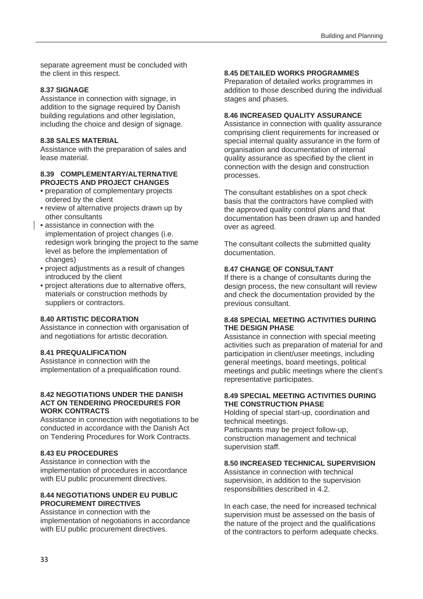separate agreement must be concluded with the client in this respect.

#### **8.37 SIGNAGE**

Assistance in connection with signage, in addition to the signage required by Danish building regulations and other legislation, including the choice and design of signage.

#### **8.38 SALES MATERIAL**

Assistance with the preparation of sales and lease material.

#### **8.39 COMPLEMENTARY/ALTERNATIVE PROJECTS AND PROJECT CHANGES**

- preparation of complementary projects ordered by the client
- review of alternative projects drawn up by other consultants
- assistance in connection with the implementation of project changes (i.e. redesign work bringing the project to the same level as before the implementation of changes)
- project adjustments as a result of changes introduced by the client
- project alterations due to alternative offers, materials or construction methods by suppliers or contractors.

#### **8.40 ARTISTIC DECORATION**

Assistance in connection with organisation of and negotiations for artistic decoration.

#### **8.41 PREQUALIFICATION**

Assistance in connection with the implementation of a prequalification round.

#### **8.42 NEGOTIATIONS UNDER THE DANISH ACT ON TENDERING PROCEDURES FOR WORK CONTRACTS**

Assistance in connection with negotiations to be conducted in accordance with the Danish Act on Tendering Procedures for Work Contracts.

#### **8.43 EU PROCEDURES**

Assistance in connection with the implementation of procedures in accordance with EU public procurement directives.

#### **8.44 NEGOTIATIONS UNDER EU PUBLIC PROCUREMENT DIRECTIVES**

Assistance in connection with the implementation of negotiations in accordance with EU public procurement directives.

#### **8.45 DETAILED WORKS PROGRAMMES**

Preparation of detailed works programmes in addition to those described during the individual stages and phases.

#### **8.46 INCREASED QUALITY ASSURANCE**

Assistance in connection with quality assurance comprising client requirements for increased or special internal quality assurance in the form of organisation and documentation of internal quality assurance as specified by the client in connection with the design and construction processes.

The consultant establishes on a spot check basis that the contractors have complied with the approved quality control plans and that documentation has been drawn up and handed over as agreed.

The consultant collects the submitted quality documentation.

#### **8.47 CHANGE OF CONSULTANT**

If there is a change of consultants during the design process, the new consultant will review and check the documentation provided by the previous consultant.

#### **8.48 SPECIAL MEETING ACTIVITIES DURING THE DESIGN PHASE**

Assistance in connection with special meeting activities such as preparation of material for and participation in client/user meetings, including general meetings, board meetings, political meetings and public meetings where the client's representative participates.

#### **8.49 SPECIAL MEETING ACTIVITIES DURING THE CONSTRUCTION PHASE**

Holding of special start-up, coordination and technical meetings. Participants may be project follow-up, construction management and technical supervision staff.

#### **8.50 INCREASED TECHNICAL SUPERVISION**

Assistance in connection with technical supervision, in addition to the supervision responsibilities described in 4.2.

In each case, the need for increased technical supervision must be assessed on the basis of the nature of the project and the qualifications of the contractors to perform adequate checks.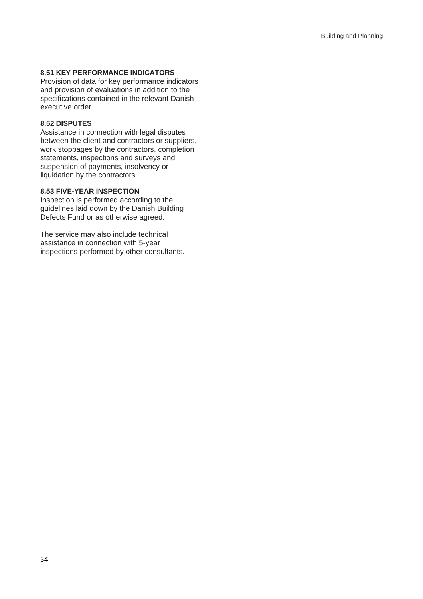#### **8.51 KEY PERFORMANCE INDICATORS**

Provision of data for key performance indicators and provision of evaluations in addition to the specifications contained in the relevant Danish executive order.

#### **8.52 DISPUTES**

Assistance in connection with legal disputes between the client and contractors or suppliers, work stoppages by the contractors, completion statements, inspections and surveys and suspension of payments, insolvency or liquidation by the contractors.

#### **8.53 FIVE-YEAR INSPECTION**

Inspection is performed according to the guidelines laid down by the Danish Building Defects Fund or as otherwise agreed.

The service may also include technical assistance in connection with 5-year inspections performed by other consultants.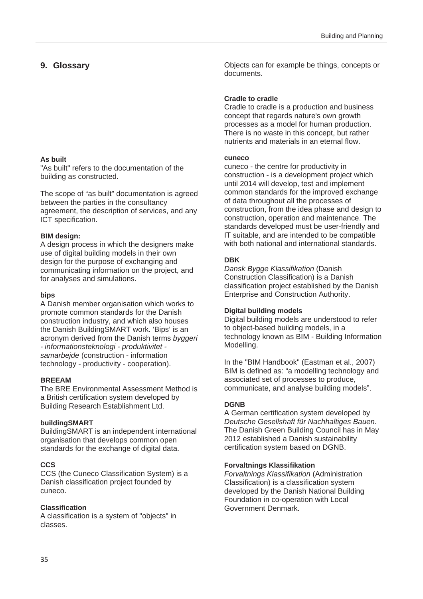#### **9. Glossary**

#### **As built**

"As built" refers to the documentation of the building as constructed.

The scope of "as built" documentation is agreed between the parties in the consultancy agreement, the description of services, and any ICT specification.

#### **BIM design:**

A design process in which the designers make use of digital building models in their own design for the purpose of exchanging and communicating information on the project, and for analyses and simulations.

#### **bips**

A Danish member organisation which works to promote common standards for the Danish construction industry, and which also houses the Danish BuildingSMART work. 'Bips' is an acronym derived from the Danish terms *byggeri - informationsteknologi - produktivitet samarbejde* (construction - information technology - productivity - cooperation).

#### **BREEAM**

The BRE Environmental Assessment Method is a British certification system developed by Building Research Establishment Ltd.

#### **buildingSMART**

BuildingSMART is an independent international organisation that develops common open standards for the exchange of digital data.

#### **CCS**

CCS (the Cuneco Classification System) is a Danish classification project founded by cuneco.

#### **Classification**

A classification is a system of "objects" in classes.

Objects can for example be things, concepts or documents.

#### **Cradle to cradle**

Cradle to cradle is a production and business concept that regards nature's own growth processes as a model for human production. There is no waste in this concept, but rather nutrients and materials in an eternal flow.

#### **cuneco**

cuneco - the centre for productivity in construction - is a development project which until 2014 will develop, test and implement common standards for the improved exchange of data throughout all the processes of construction, from the idea phase and design to construction, operation and maintenance. The standards developed must be user-friendly and IT suitable, and are intended to be compatible with both national and international standards.

#### **DBK**

*Dansk Bygge Klassifikation* (Danish Construction Classification) is a Danish classification project established by the Danish Enterprise and Construction Authority.

#### **Digital building models**

Digital building models are understood to refer to object-based building models, in a technology known as BIM - Building Information Modelling.

In the "BIM Handbook" (Eastman et al., 2007) BIM is defined as: "a modelling technology and associated set of processes to produce, communicate, and analyse building models".

#### **DGNB**

A German certification system developed by *Deutsche Gesellshaft für Nachhaltiges Bauen*. The Danish Green Building Council has in May 2012 established a Danish sustainability certification system based on DGNB.

#### **Forvaltnings Klassifikation**

*Forvaltnings Klassifikation* (Administration Classification) is a classification system developed by the Danish National Building Foundation in co-operation with Local Government Denmark.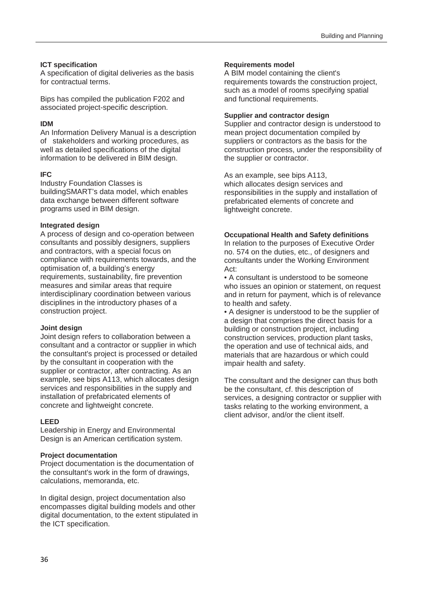#### **ICT specification**

A specification of digital deliveries as the basis for contractual terms.

Bips has compiled the publication F202 and associated project-specific description.

#### **IDM**

An Information Delivery Manual is a description of stakeholders and working procedures, as well as detailed specifications of the digital information to be delivered in BIM design.

#### **IFC**

Industry Foundation Classes is buildingSMART's data model, which enables data exchange between different software programs used in BIM design.

#### **Integrated design**

A process of design and co-operation between consultants and possibly designers, suppliers and contractors, with a special focus on compliance with requirements towards, and the optimisation of, a building's energy requirements, sustainability, fire prevention measures and similar areas that require interdisciplinary coordination between various disciplines in the introductory phases of a construction project.

#### **Joint design**

Joint design refers to collaboration between a consultant and a contractor or supplier in which the consultant's project is processed or detailed by the consultant in cooperation with the supplier or contractor, after contracting. As an example, see bips A113, which allocates design services and responsibilities in the supply and installation of prefabricated elements of concrete and lightweight concrete.

#### **LEED**

Leadership in Energy and Environmental Design is an American certification system.

#### **Project documentation**

Project documentation is the documentation of the consultant's work in the form of drawings, calculations, memoranda, etc.

In digital design, project documentation also encompasses digital building models and other digital documentation, to the extent stipulated in the ICT specification.

#### **Requirements model**

A BIM model containing the client's requirements towards the construction project, such as a model of rooms specifying spatial and functional requirements.

#### **Supplier and contractor design**

Supplier and contractor design is understood to mean project documentation compiled by suppliers or contractors as the basis for the construction process, under the responsibility of the supplier or contractor.

As an example, see bips A113, which allocates design services and responsibilities in the supply and installation of prefabricated elements of concrete and lightweight concrete.

#### **Occupational Health and Safety definitions**

In relation to the purposes of Executive Order no. 574 on the duties, etc., of designers and consultants under the Working Environment Act:

• A consultant is understood to be someone who issues an opinion or statement, on request and in return for payment, which is of relevance to health and safety.

• A designer is understood to be the supplier of a design that comprises the direct basis for a building or construction project, including construction services, production plant tasks, the operation and use of technical aids, and materials that are hazardous or which could impair health and safety.

The consultant and the designer can thus both be the consultant, cf. this description of services, a designing contractor or supplier with tasks relating to the working environment, a client advisor, and/or the client itself.